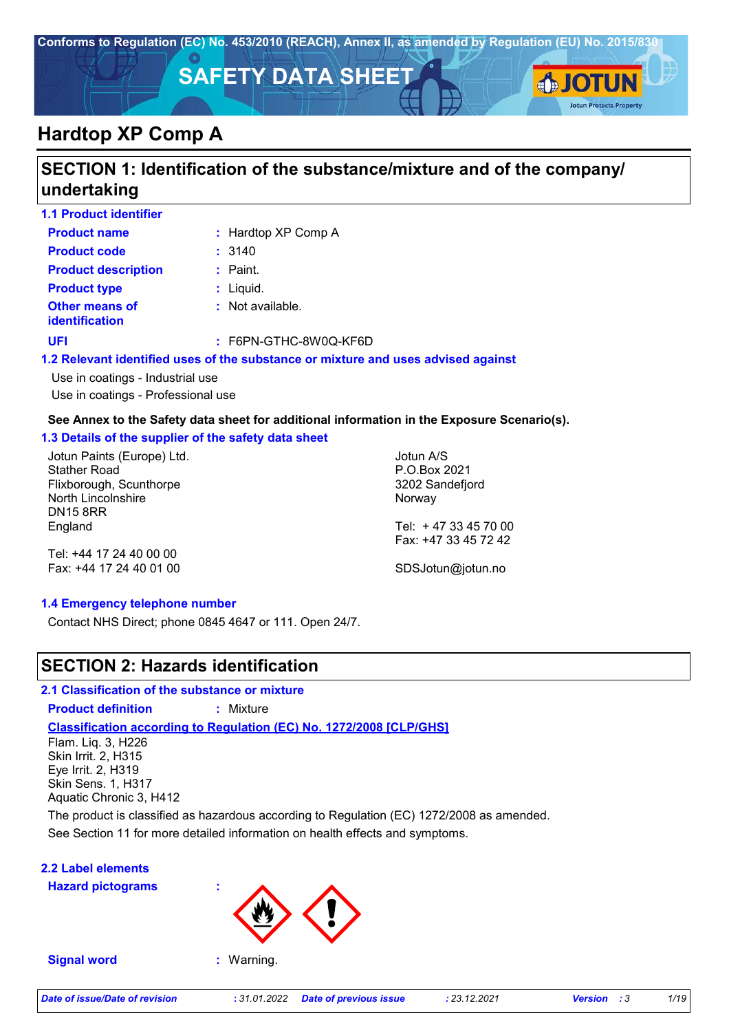

# **SECTION 1: Identification of the substance/mixture and of the company/ undertaking**

| <b>1.1 Product identifier</b>                  |                                                                                   |  |  |  |  |
|------------------------------------------------|-----------------------------------------------------------------------------------|--|--|--|--|
| <b>Product name</b>                            | : Hardtop XP Comp A                                                               |  |  |  |  |
| <b>Product code</b>                            | : 3140                                                                            |  |  |  |  |
| <b>Product description</b>                     | $:$ Paint.                                                                        |  |  |  |  |
| <b>Product type</b>                            | $:$ Liquid.                                                                       |  |  |  |  |
| <b>Other means of</b><br><b>identification</b> | $\therefore$ Not available.                                                       |  |  |  |  |
| <b>UFI</b>                                     | : F6PN-GTHC-8W0Q-KF6D                                                             |  |  |  |  |
|                                                | 1.2 Relevant identified uses of the substance or mixture and uses advised against |  |  |  |  |
| Use in coatings - Industrial use               |                                                                                   |  |  |  |  |

Use in coatings - Professional use

#### **See Annex to the Safety data sheet for additional information in the Exposure Scenario(s).**

#### **1.3 Details of the supplier of the safety data sheet**

Jotun Paints (Europe) Ltd. Stather Road Flixborough, Scunthorpe North Lincolnshire DN15 8RR England

Jotun A/S P.O.Box 2021 3202 Sandefjord Norway

Tel: + 47 33 45 70 00 Fax: +47 33 45 72 42

Tel: +44 17 24 40 00 00 Fax: +44 17 24 40 01 00

SDSJotun@jotun.no

#### **1.4 Emergency telephone number**

Contact NHS Direct; phone 0845 4647 or 111. Open 24/7.

### **SECTION 2: Hazards identification**

#### **2.1 Classification of the substance or mixture**

**Product definition :** Mixture

**Classification according to Regulation (EC) No. 1272/2008 [CLP/GHS]**

Flam. Liq. 3, H226 Skin Irrit. 2, H315 Eye Irrit. 2, H319 Skin Sens. 1, H317 Aquatic Chronic 3, H412

See Section 11 for more detailed information on health effects and symptoms. The product is classified as hazardous according to Regulation (EC) 1272/2008 as amended.

#### **2.2 Label elements**

**Hazard pictograms :**



**Signal word :** Warning.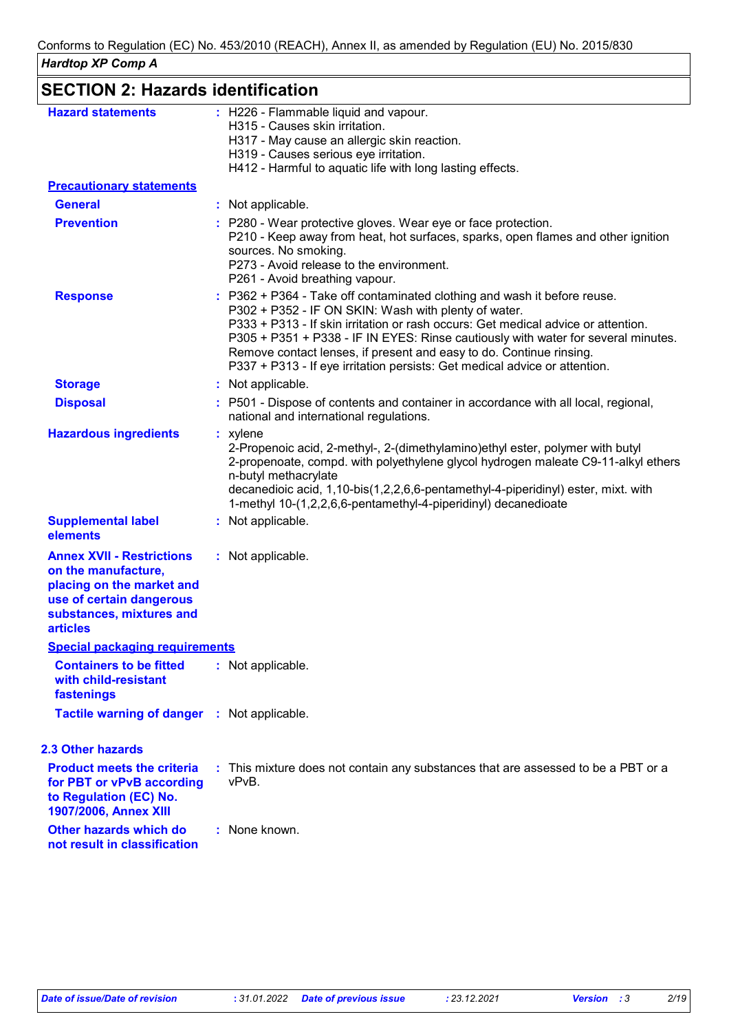| <b>SECTION 2: Hazards identification</b>                                                                                                                        |                                                                                                                                                                                                                                                                                                                                                                                                                                                               |  |  |
|-----------------------------------------------------------------------------------------------------------------------------------------------------------------|---------------------------------------------------------------------------------------------------------------------------------------------------------------------------------------------------------------------------------------------------------------------------------------------------------------------------------------------------------------------------------------------------------------------------------------------------------------|--|--|
| <b>Hazard statements</b>                                                                                                                                        | : H226 - Flammable liquid and vapour.<br>H315 - Causes skin irritation.<br>H317 - May cause an allergic skin reaction.<br>H319 - Causes serious eye irritation.<br>H412 - Harmful to aquatic life with long lasting effects.                                                                                                                                                                                                                                  |  |  |
| <b>Precautionary statements</b>                                                                                                                                 |                                                                                                                                                                                                                                                                                                                                                                                                                                                               |  |  |
| <b>General</b>                                                                                                                                                  | : Not applicable.                                                                                                                                                                                                                                                                                                                                                                                                                                             |  |  |
| <b>Prevention</b>                                                                                                                                               | P280 - Wear protective gloves. Wear eye or face protection.<br>P210 - Keep away from heat, hot surfaces, sparks, open flames and other ignition<br>sources. No smoking.<br>P273 - Avoid release to the environment.<br>P261 - Avoid breathing vapour.                                                                                                                                                                                                         |  |  |
| <b>Response</b>                                                                                                                                                 | P362 + P364 - Take off contaminated clothing and wash it before reuse.<br>P302 + P352 - IF ON SKIN: Wash with plenty of water.<br>P333 + P313 - If skin irritation or rash occurs: Get medical advice or attention.<br>P305 + P351 + P338 - IF IN EYES: Rinse cautiously with water for several minutes.<br>Remove contact lenses, if present and easy to do. Continue rinsing.<br>P337 + P313 - If eye irritation persists: Get medical advice or attention. |  |  |
| <b>Storage</b>                                                                                                                                                  | : Not applicable.                                                                                                                                                                                                                                                                                                                                                                                                                                             |  |  |
| <b>Disposal</b>                                                                                                                                                 | : P501 - Dispose of contents and container in accordance with all local, regional,<br>national and international regulations.                                                                                                                                                                                                                                                                                                                                 |  |  |
| <b>Hazardous ingredients</b>                                                                                                                                    | $:$ xylene<br>2-Propenoic acid, 2-methyl-, 2-(dimethylamino) ethyl ester, polymer with butyl<br>2-propenoate, compd. with polyethylene glycol hydrogen maleate C9-11-alkyl ethers<br>n-butyl methacrylate<br>decanedioic acid, 1,10-bis(1,2,2,6,6-pentamethyl-4-piperidinyl) ester, mixt. with<br>1-methyl 10-(1,2,2,6,6-pentamethyl-4-piperidinyl) decanedioate                                                                                              |  |  |
| <b>Supplemental label</b><br>elements                                                                                                                           | : Not applicable.                                                                                                                                                                                                                                                                                                                                                                                                                                             |  |  |
| <b>Annex XVII - Restrictions</b><br>on the manufacture,<br>placing on the market and<br>use of certain dangerous<br>substances, mixtures and<br><b>articles</b> | : Not applicable.                                                                                                                                                                                                                                                                                                                                                                                                                                             |  |  |
| <b>Special packaging requirements</b>                                                                                                                           |                                                                                                                                                                                                                                                                                                                                                                                                                                                               |  |  |
| <b>Containers to be fitted</b><br>with child-resistant<br>fastenings                                                                                            | : Not applicable.                                                                                                                                                                                                                                                                                                                                                                                                                                             |  |  |
| Tactile warning of danger : Not applicable.                                                                                                                     |                                                                                                                                                                                                                                                                                                                                                                                                                                                               |  |  |
| 2.3 Other hazards                                                                                                                                               |                                                                                                                                                                                                                                                                                                                                                                                                                                                               |  |  |
| <b>Product meets the criteria</b><br>for PBT or vPvB according<br>to Regulation (EC) No.<br>1907/2006, Annex XIII                                               | : This mixture does not contain any substances that are assessed to be a PBT or a<br>vPvB.                                                                                                                                                                                                                                                                                                                                                                    |  |  |
| Other hazards which do<br>not result in classification                                                                                                          | : None known.                                                                                                                                                                                                                                                                                                                                                                                                                                                 |  |  |
|                                                                                                                                                                 |                                                                                                                                                                                                                                                                                                                                                                                                                                                               |  |  |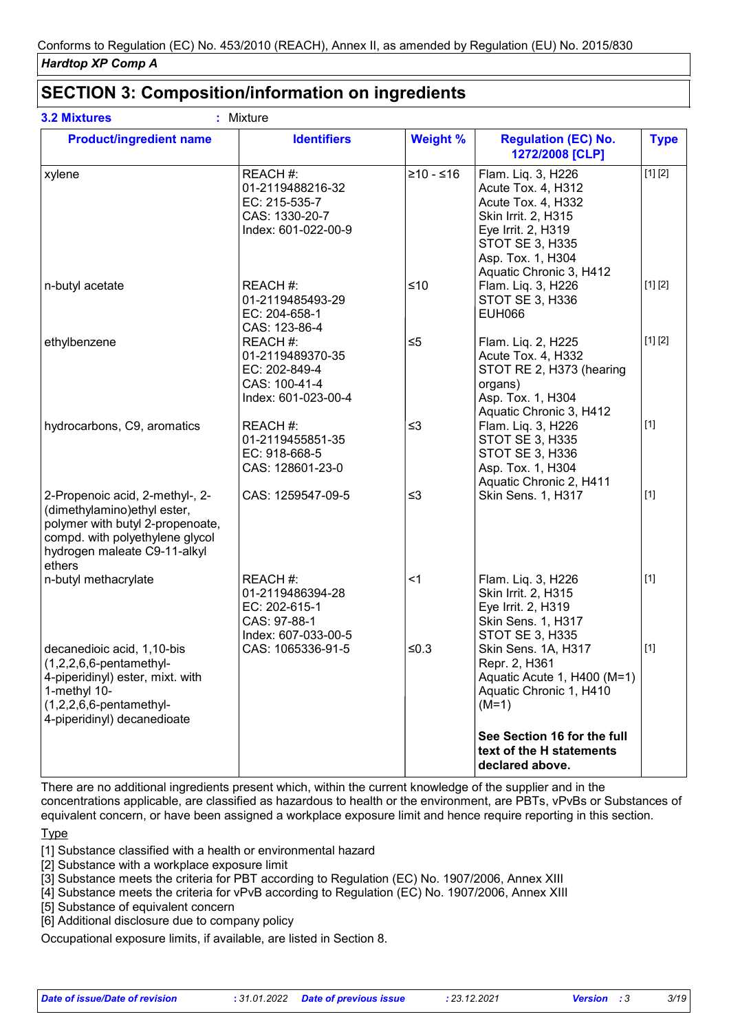| <b>Product/ingredient name</b>                                                                                                                                                   | <b>Identifiers</b>                                                                     | <b>Weight %</b> | <b>Regulation (EC) No.</b><br>1272/2008 [CLP]                                                                                                                                         | <b>Type</b> |
|----------------------------------------------------------------------------------------------------------------------------------------------------------------------------------|----------------------------------------------------------------------------------------|-----------------|---------------------------------------------------------------------------------------------------------------------------------------------------------------------------------------|-------------|
| xylene                                                                                                                                                                           | REACH #:<br>01-2119488216-32<br>EC: 215-535-7<br>CAS: 1330-20-7<br>Index: 601-022-00-9 | $≥10 - ≤16$     | Flam. Liq. 3, H226<br>Acute Tox. 4, H312<br>Acute Tox. 4, H332<br>Skin Irrit. 2, H315<br>Eye Irrit. 2, H319<br><b>STOT SE 3, H335</b><br>Asp. Tox. 1, H304<br>Aquatic Chronic 3, H412 | [1] [2]     |
| n-butyl acetate                                                                                                                                                                  | REACH #:<br>01-2119485493-29<br>EC: 204-658-1<br>CAS: 123-86-4                         | $≤10$           | Flam. Liq. 3, H226<br>STOT SE 3, H336<br><b>EUH066</b>                                                                                                                                | [1] [2]     |
| ethylbenzene                                                                                                                                                                     | REACH #:<br>01-2119489370-35<br>EC: 202-849-4<br>CAS: 100-41-4<br>Index: 601-023-00-4  | $\leq 5$        | Flam. Liq. 2, H225<br>Acute Tox. 4, H332<br>STOT RE 2, H373 (hearing<br>organs)<br>Asp. Tox. 1, H304<br>Aquatic Chronic 3, H412                                                       | [1] [2]     |
| hydrocarbons, C9, aromatics                                                                                                                                                      | REACH #:<br>01-2119455851-35<br>EC: 918-668-5<br>CAS: 128601-23-0                      | $\leq$ 3        | Flam. Liq. 3, H226<br><b>STOT SE 3, H335</b><br><b>STOT SE 3, H336</b><br>Asp. Tox. 1, H304<br>Aquatic Chronic 2, H411                                                                | $[1]$       |
| 2-Propenoic acid, 2-methyl-, 2-<br>(dimethylamino) ethyl ester,<br>polymer with butyl 2-propenoate,<br>compd. with polyethylene glycol<br>hydrogen maleate C9-11-alkyl<br>ethers | CAS: 1259547-09-5                                                                      | $\leq$ 3        | Skin Sens. 1, H317                                                                                                                                                                    | $[1]$       |
| n-butyl methacrylate                                                                                                                                                             | REACH #:<br>01-2119486394-28<br>EC: 202-615-1<br>CAS: 97-88-1<br>Index: 607-033-00-5   | $<$ 1           | Flam. Liq. 3, H226<br>Skin Irrit. 2, H315<br>Eye Irrit. 2, H319<br><b>Skin Sens. 1, H317</b><br><b>STOT SE 3, H335</b>                                                                | $[1]$       |
| decanedioic acid, 1,10-bis<br>$(1,2,2,6,6$ -pentamethyl-<br>4-piperidinyl) ester, mixt. with<br>1-methyl 10-<br>$(1,2,2,6,6$ -pentamethyl-<br>4-piperidinyl) decanedioate        | CAS: 1065336-91-5                                                                      | $≤0.3$          | Skin Sens. 1A, H317<br>Repr. 2, H361<br>Aquatic Acute 1, H400 (M=1)<br>Aquatic Chronic 1, H410<br>$(M=1)$                                                                             | $[1]$       |
|                                                                                                                                                                                  |                                                                                        |                 | See Section 16 for the full<br>text of the H statements<br>declared above.                                                                                                            |             |

### **SECTION 3: Composition/information on ingredients**

There are no additional ingredients present which, within the current knowledge of the supplier and in the concentrations applicable, are classified as hazardous to health or the environment, are PBTs, vPvBs or Substances of equivalent concern, or have been assigned a workplace exposure limit and hence require reporting in this section.

**Type** 

[1] Substance classified with a health or environmental hazard

[2] Substance with a workplace exposure limit

[3] Substance meets the criteria for PBT according to Regulation (EC) No. 1907/2006, Annex XIII

[4] Substance meets the criteria for vPvB according to Regulation (EC) No. 1907/2006, Annex XIII

[5] Substance of equivalent concern

[6] Additional disclosure due to company policy

Occupational exposure limits, if available, are listed in Section 8.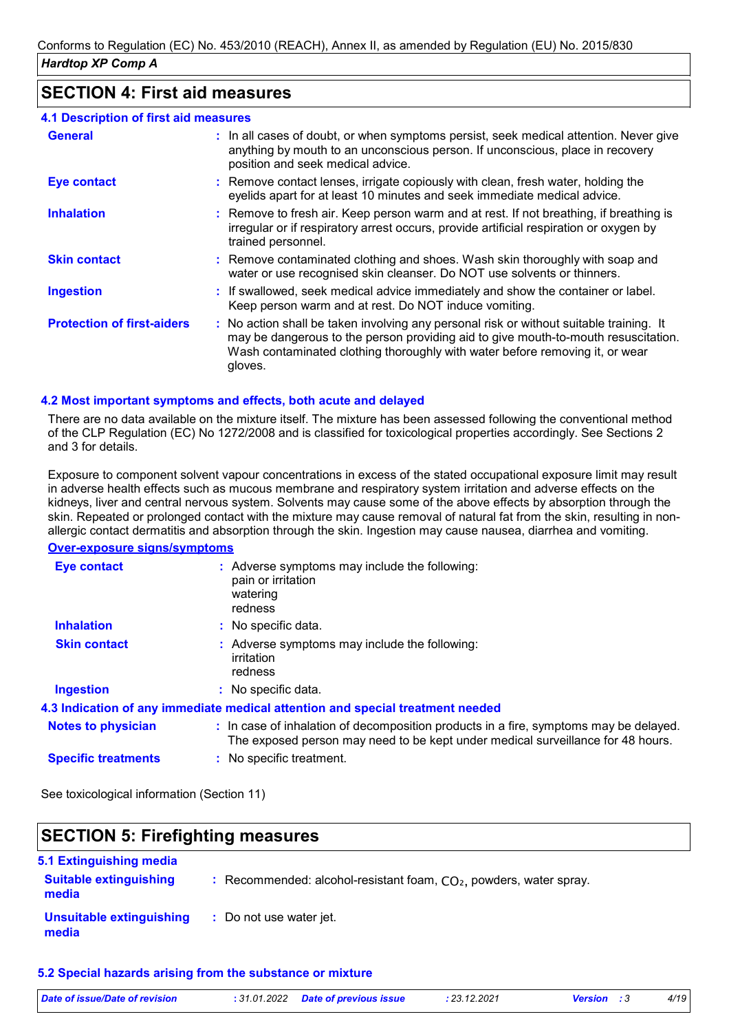### **SECTION 4: First aid measures**

| <b>4.1 Description of first aid measures</b> |                                                                                                                                                                                                                                                                          |
|----------------------------------------------|--------------------------------------------------------------------------------------------------------------------------------------------------------------------------------------------------------------------------------------------------------------------------|
| <b>General</b>                               | : In all cases of doubt, or when symptoms persist, seek medical attention. Never give<br>anything by mouth to an unconscious person. If unconscious, place in recovery<br>position and seek medical advice.                                                              |
| <b>Eye contact</b>                           | : Remove contact lenses, irrigate copiously with clean, fresh water, holding the<br>eyelids apart for at least 10 minutes and seek immediate medical advice.                                                                                                             |
| <b>Inhalation</b>                            | : Remove to fresh air. Keep person warm and at rest. If not breathing, if breathing is<br>irregular or if respiratory arrest occurs, provide artificial respiration or oxygen by<br>trained personnel.                                                                   |
| <b>Skin contact</b>                          | : Remove contaminated clothing and shoes. Wash skin thoroughly with soap and<br>water or use recognised skin cleanser. Do NOT use solvents or thinners.                                                                                                                  |
| <b>Ingestion</b>                             | : If swallowed, seek medical advice immediately and show the container or label.<br>Keep person warm and at rest. Do NOT induce vomiting.                                                                                                                                |
| <b>Protection of first-aiders</b>            | : No action shall be taken involving any personal risk or without suitable training. It<br>may be dangerous to the person providing aid to give mouth-to-mouth resuscitation.<br>Wash contaminated clothing thoroughly with water before removing it, or wear<br>gloves. |

#### **4.2 Most important symptoms and effects, both acute and delayed**

There are no data available on the mixture itself. The mixture has been assessed following the conventional method of the CLP Regulation (EC) No 1272/2008 and is classified for toxicological properties accordingly. See Sections 2 and 3 for details.

Exposure to component solvent vapour concentrations in excess of the stated occupational exposure limit may result in adverse health effects such as mucous membrane and respiratory system irritation and adverse effects on the kidneys, liver and central nervous system. Solvents may cause some of the above effects by absorption through the skin. Repeated or prolonged contact with the mixture may cause removal of natural fat from the skin, resulting in nonallergic contact dermatitis and absorption through the skin. Ingestion may cause nausea, diarrhea and vomiting.

#### **Over-exposure signs/symptoms**

| <b>Eye contact</b>         | : Adverse symptoms may include the following:<br>pain or irritation<br>watering<br>redness                                                                               |
|----------------------------|--------------------------------------------------------------------------------------------------------------------------------------------------------------------------|
| <b>Inhalation</b>          | : No specific data.                                                                                                                                                      |
| <b>Skin contact</b>        | : Adverse symptoms may include the following:<br>irritation<br>redness                                                                                                   |
| <b>Ingestion</b>           | : No specific data.                                                                                                                                                      |
|                            | 4.3 Indication of any immediate medical attention and special treatment needed                                                                                           |
| <b>Notes to physician</b>  | : In case of inhalation of decomposition products in a fire, symptoms may be delayed.<br>The exposed person may need to be kept under medical surveillance for 48 hours. |
| <b>Specific treatments</b> | : No specific treatment.                                                                                                                                                 |

See toxicological information (Section 11)

#### **SECTION 5: Firefighting measures**

| 5.1 Extinguishing media                |                                                                      |
|----------------------------------------|----------------------------------------------------------------------|
| <b>Suitable extinguishing</b><br>media | : Recommended: alcohol-resistant foam, $CO2$ , powders, water spray. |
| Unsuitable extinguishing<br>media      | : Do not use water jet.                                              |

#### **5.2 Special hazards arising from the substance or mixture**

| Date of issue/Date of revision | : 31.01.2022 Date of previous issue | : 23.12.2021<br><b>Version</b> : 3 | 4/19 |
|--------------------------------|-------------------------------------|------------------------------------|------|
|                                |                                     |                                    |      |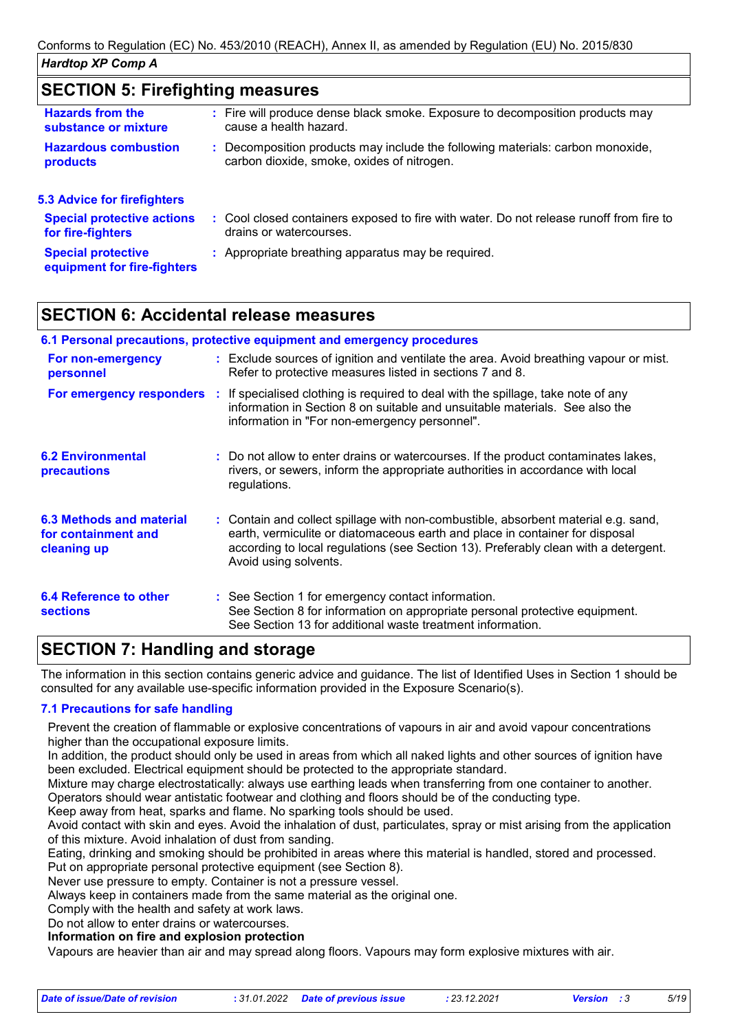### **SECTION 5: Firefighting measures**

| <b>Hazards from the</b>                                  | : Fire will produce dense black smoke. Exposure to decomposition products may           |
|----------------------------------------------------------|-----------------------------------------------------------------------------------------|
| substance or mixture                                     | cause a health hazard.                                                                  |
| <b>Hazardous combustion</b>                              | : Decomposition products may include the following materials: carbon monoxide,          |
| products                                                 | carbon dioxide, smoke, oxides of nitrogen.                                              |
| <b>5.3 Advice for firefighters</b>                       |                                                                                         |
| <b>Special protective actions</b>                        | : Cool closed containers exposed to fire with water. Do not release runoff from fire to |
| for fire-fighters                                        | drains or watercourses.                                                                 |
| <b>Special protective</b><br>equipment for fire-fighters | : Appropriate breathing apparatus may be required.                                      |

### **SECTION 6: Accidental release measures**

| 6.1 Personal precautions, protective equipment and emergency procedures                                                                                            |  |                                                                                                                                                                                                                                                                                    |  |  |  |
|--------------------------------------------------------------------------------------------------------------------------------------------------------------------|--|------------------------------------------------------------------------------------------------------------------------------------------------------------------------------------------------------------------------------------------------------------------------------------|--|--|--|
| For non-emergency<br>personnel                                                                                                                                     |  | : Exclude sources of ignition and ventilate the area. Avoid breathing vapour or mist.<br>Refer to protective measures listed in sections 7 and 8.                                                                                                                                  |  |  |  |
| <b>For emergency responders</b> : If specialised clothing is required to deal with the spillage, take note of any<br>information in "For non-emergency personnel". |  | information in Section 8 on suitable and unsuitable materials. See also the                                                                                                                                                                                                        |  |  |  |
| <b>6.2 Environmental</b><br><b>precautions</b>                                                                                                                     |  | : Do not allow to enter drains or watercourses. If the product contaminates lakes,<br>rivers, or sewers, inform the appropriate authorities in accordance with local<br>regulations.                                                                                               |  |  |  |
| 6.3 Methods and material<br>for containment and<br>cleaning up                                                                                                     |  | : Contain and collect spillage with non-combustible, absorbent material e.g. sand,<br>earth, vermiculite or diatomaceous earth and place in container for disposal<br>according to local regulations (see Section 13). Preferably clean with a detergent.<br>Avoid using solvents. |  |  |  |
| 6.4 Reference to other<br><b>sections</b>                                                                                                                          |  | : See Section 1 for emergency contact information.<br>See Section 8 for information on appropriate personal protective equipment.<br>See Section 13 for additional waste treatment information.                                                                                    |  |  |  |

### **SECTION 7: Handling and storage**

The information in this section contains generic advice and guidance. The list of Identified Uses in Section 1 should be consulted for any available use-specific information provided in the Exposure Scenario(s).

#### **7.1 Precautions for safe handling**

Prevent the creation of flammable or explosive concentrations of vapours in air and avoid vapour concentrations higher than the occupational exposure limits.

In addition, the product should only be used in areas from which all naked lights and other sources of ignition have been excluded. Electrical equipment should be protected to the appropriate standard.

Mixture may charge electrostatically: always use earthing leads when transferring from one container to another.

Operators should wear antistatic footwear and clothing and floors should be of the conducting type.

Keep away from heat, sparks and flame. No sparking tools should be used.

Avoid contact with skin and eyes. Avoid the inhalation of dust, particulates, spray or mist arising from the application of this mixture. Avoid inhalation of dust from sanding.

Eating, drinking and smoking should be prohibited in areas where this material is handled, stored and processed.

Put on appropriate personal protective equipment (see Section 8).

Never use pressure to empty. Container is not a pressure vessel.

Always keep in containers made from the same material as the original one.

Comply with the health and safety at work laws.

Do not allow to enter drains or watercourses.

#### **Information on fire and explosion protection**

Vapours are heavier than air and may spread along floors. Vapours may form explosive mixtures with air.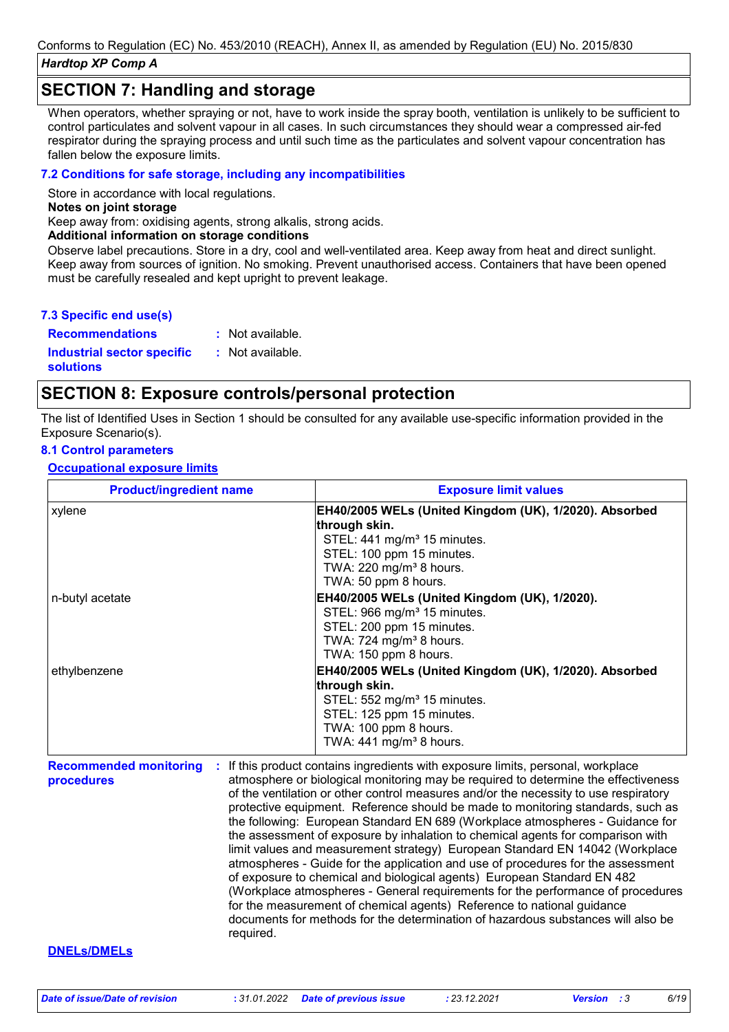### **SECTION 7: Handling and storage**

When operators, whether spraying or not, have to work inside the spray booth, ventilation is unlikely to be sufficient to control particulates and solvent vapour in all cases. In such circumstances they should wear a compressed air-fed respirator during the spraying process and until such time as the particulates and solvent vapour concentration has fallen below the exposure limits.

#### **7.2 Conditions for safe storage, including any incompatibilities**

Store in accordance with local regulations.

#### **Notes on joint storage**

Keep away from: oxidising agents, strong alkalis, strong acids.

#### **Additional information on storage conditions**

Observe label precautions. Store in a dry, cool and well-ventilated area. Keep away from heat and direct sunlight. Keep away from sources of ignition. No smoking. Prevent unauthorised access. Containers that have been opened must be carefully resealed and kept upright to prevent leakage.

#### **7.3 Specific end use(s)**

**Recommendations :** : Not available.

**Industrial sector specific : solutions**

### **SECTION 8: Exposure controls/personal protection**

: Not available.

The list of Identified Uses in Section 1 should be consulted for any available use-specific information provided in the Exposure Scenario(s).

#### **8.1 Control parameters**

**Occupational exposure limits**

| <b>Product/ingredient name</b> | <b>Exposure limit values</b>                             |  |  |
|--------------------------------|----------------------------------------------------------|--|--|
| xylene                         | EH40/2005 WELs (United Kingdom (UK), 1/2020). Absorbed   |  |  |
|                                | through skin.<br>STEL: 441 mg/m <sup>3</sup> 15 minutes. |  |  |
|                                | STEL: 100 ppm 15 minutes.                                |  |  |
|                                | TWA: 220 mg/m <sup>3</sup> 8 hours.                      |  |  |
|                                | TWA: 50 ppm 8 hours.                                     |  |  |
| n-butyl acetate                | EH40/2005 WELs (United Kingdom (UK), 1/2020).            |  |  |
|                                | STEL: 966 mg/m <sup>3</sup> 15 minutes.                  |  |  |
|                                | STEL: 200 ppm 15 minutes.                                |  |  |
|                                | TWA: 724 mg/m <sup>3</sup> 8 hours.                      |  |  |
|                                | TWA: 150 ppm 8 hours.                                    |  |  |
| ethylbenzene                   | EH40/2005 WELs (United Kingdom (UK), 1/2020). Absorbed   |  |  |
|                                | through skin.                                            |  |  |
|                                | STEL: 552 mg/m <sup>3</sup> 15 minutes.                  |  |  |
|                                | STEL: 125 ppm 15 minutes.                                |  |  |
|                                | TWA: 100 ppm 8 hours.                                    |  |  |
|                                | TWA: $441$ mg/m <sup>3</sup> 8 hours.                    |  |  |

**Recommended monitoring procedures :** If this product contains ingredients with exposure limits, personal, workplace atmosphere or biological monitoring may be required to determine the effectiveness of the ventilation or other control measures and/or the necessity to use respiratory protective equipment. Reference should be made to monitoring standards, such as the following: European Standard EN 689 (Workplace atmospheres - Guidance for the assessment of exposure by inhalation to chemical agents for comparison with limit values and measurement strategy) European Standard EN 14042 (Workplace atmospheres - Guide for the application and use of procedures for the assessment of exposure to chemical and biological agents) European Standard EN 482 (Workplace atmospheres - General requirements for the performance of procedures for the measurement of chemical agents) Reference to national guidance documents for methods for the determination of hazardous substances will also be required.

#### **DNELs/DMELs**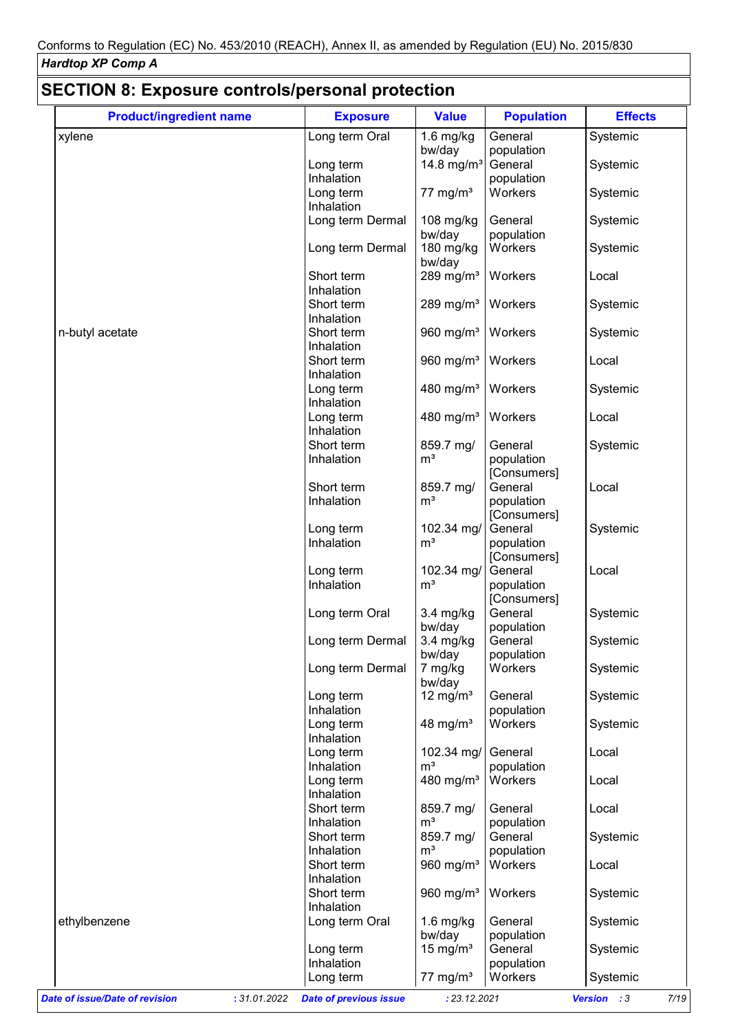| <b>Product/ingredient name</b> | <b>Exposure</b>         | <b>Value</b>            | <b>Population</b>      | <b>Effects</b> |
|--------------------------------|-------------------------|-------------------------|------------------------|----------------|
| xylene                         | Long term Oral          | $1.6$ mg/kg             | General                | Systemic       |
|                                |                         | bw/day                  | population             |                |
|                                | Long term               | 14.8 mg/m <sup>3</sup>  | General                | Systemic       |
|                                | Inhalation              |                         | population             |                |
|                                | Long term               | $77 \text{ mg/m}^3$     | Workers                | Systemic       |
|                                | Inhalation              |                         |                        |                |
|                                | Long term Dermal        | 108 mg/kg               | General                | Systemic       |
|                                | Long term Dermal        | bw/day<br>180 mg/kg     | population<br>Workers  | Systemic       |
|                                |                         | bw/day                  |                        |                |
|                                | Short term              | 289 mg/m <sup>3</sup>   | Workers                | Local          |
|                                | Inhalation              |                         |                        |                |
|                                | Short term              | $289$ mg/m <sup>3</sup> | Workers                | Systemic       |
|                                | Inhalation              |                         |                        |                |
| n-butyl acetate                | Short term              | 960 mg/ $m3$            | Workers                | Systemic       |
|                                | Inhalation              |                         |                        |                |
|                                | Short term              | 960 mg/m <sup>3</sup>   | Workers                | Local          |
|                                | Inhalation              |                         |                        |                |
|                                | Long term               | 480 mg/m <sup>3</sup>   | Workers                | Systemic       |
|                                | Inhalation              |                         |                        |                |
|                                | Long term               | 480 mg/m <sup>3</sup>   | Workers                | Local          |
|                                | Inhalation              |                         |                        |                |
|                                | Short term              | 859.7 mg/               | General                | Systemic       |
|                                | Inhalation              | m <sup>3</sup>          | population             |                |
|                                |                         |                         | [Consumers]            |                |
|                                | Short term              | 859.7 mg/               | General                | Local          |
|                                | Inhalation              | m <sup>3</sup>          | population             |                |
|                                | Long term               | 102.34 mg/              | [Consumers]<br>General | Systemic       |
|                                | Inhalation              | m <sup>3</sup>          | population             |                |
|                                |                         |                         | [Consumers]            |                |
|                                | Long term               | 102.34 mg/              | General                | Local          |
|                                | Inhalation              | m <sup>3</sup>          | population             |                |
|                                |                         |                         | [Consumers]            |                |
|                                | Long term Oral          | $3.4$ mg/kg             | General                | Systemic       |
|                                |                         | bw/day                  | population             |                |
|                                | Long term Dermal        | 3.4 mg/kg               | General                | Systemic       |
|                                |                         | bw/day                  | population             |                |
|                                | Long term Dermal        | 7 mg/kg                 | Workers                | Systemic       |
|                                |                         | bw/day                  |                        |                |
|                                | Long term               | 12 mg/m <sup>3</sup>    | General                | Systemic       |
|                                | Inhalation              |                         | population             |                |
|                                | Long term               | 48 mg/ $m3$             | Workers                | Systemic       |
|                                | Inhalation              |                         |                        |                |
|                                | Long term               | 102.34 mg/              | General                | Local          |
|                                | Inhalation              | m <sup>3</sup>          | population<br>Workers  |                |
|                                | Long term<br>Inhalation | 480 mg/ $m3$            |                        | Local          |
|                                | Short term              | 859.7 mg/               | General                | Local          |
|                                | Inhalation              | m <sup>3</sup>          | population             |                |
|                                | Short term              | 859.7 mg/               | General                | Systemic       |
|                                | Inhalation              | m <sup>3</sup>          | population             |                |
|                                | Short term              | 960 mg/ $m3$            | Workers                | Local          |
|                                | Inhalation              |                         |                        |                |
|                                | Short term              | 960 mg/ $m3$            | Workers                | Systemic       |
|                                | Inhalation              |                         |                        |                |
|                                | Long term Oral          | $1.6$ mg/kg             | General                | Systemic       |
|                                |                         |                         |                        |                |
| ethylbenzene                   |                         |                         |                        |                |
|                                |                         | bw/day                  | population<br>General  |                |
|                                | Long term<br>Inhalation | 15 mg/m <sup>3</sup>    | population             | Systemic       |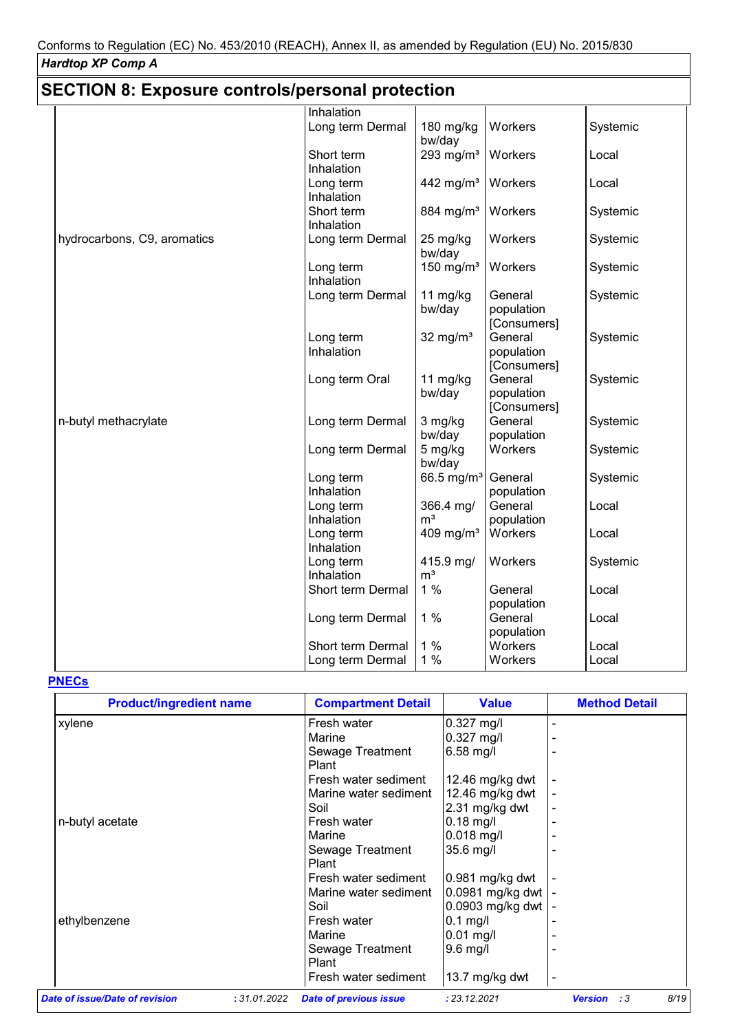| <b>SECTION 8: Exposure controls/personal protection</b> |                         |                       |                        |          |  |  |  |
|---------------------------------------------------------|-------------------------|-----------------------|------------------------|----------|--|--|--|
|                                                         | Inhalation              |                       |                        |          |  |  |  |
|                                                         | Long term Dermal        | 180 mg/kg<br>bw/day   | Workers                | Systemic |  |  |  |
|                                                         | Short term              | 293 mg/ $m3$          | Workers                | Local    |  |  |  |
|                                                         | Inhalation              |                       |                        |          |  |  |  |
|                                                         | Long term               | 442 mg/m <sup>3</sup> | Workers                | Local    |  |  |  |
|                                                         | Inhalation              |                       |                        |          |  |  |  |
|                                                         | Short term              | 884 mg/m <sup>3</sup> | Workers                | Systemic |  |  |  |
|                                                         | Inhalation              |                       |                        |          |  |  |  |
| hydrocarbons, C9, aromatics                             | Long term Dermal        | 25 mg/kg<br>bw/day    | Workers                | Systemic |  |  |  |
|                                                         | Long term<br>Inhalation | 150 mg/ $m3$          | Workers                | Systemic |  |  |  |
|                                                         | Long term Dermal        | 11 mg/kg              | General                | Systemic |  |  |  |
|                                                         |                         | bw/day                | population             |          |  |  |  |
|                                                         |                         |                       | [Consumers]            |          |  |  |  |
|                                                         | Long term               | 32 mg/ $m3$           | General                | Systemic |  |  |  |
|                                                         | Inhalation              |                       | population             |          |  |  |  |
|                                                         |                         |                       | [Consumers]            |          |  |  |  |
|                                                         | Long term Oral          | 11 $mg/kg$            | General                | Systemic |  |  |  |
|                                                         |                         | bw/day                | population             |          |  |  |  |
|                                                         |                         |                       | [Consumers]<br>General |          |  |  |  |
| n-butyl methacrylate                                    | Long term Dermal        | 3 mg/kg<br>bw/day     | population             | Systemic |  |  |  |
|                                                         | Long term Dermal        | 5 mg/kg               | Workers                | Systemic |  |  |  |
|                                                         |                         | bw/day                |                        |          |  |  |  |
|                                                         | Long term               | 66.5 mg/ $m^3$        | General                | Systemic |  |  |  |
|                                                         | Inhalation              |                       | population             |          |  |  |  |
|                                                         | Long term               | 366.4 mg/             | General                | Local    |  |  |  |
|                                                         | Inhalation              | m <sup>3</sup>        | population             |          |  |  |  |
|                                                         | Long term<br>Inhalation | 409 mg/m $3$          | Workers                | Local    |  |  |  |
|                                                         | Long term               | 415.9 mg/             | Workers                | Systemic |  |  |  |
|                                                         | Inhalation              | m <sup>3</sup>        |                        |          |  |  |  |
|                                                         | Short term Dermal       | 1%                    | General                | Local    |  |  |  |
|                                                         |                         |                       | population             |          |  |  |  |
|                                                         | Long term Dermal        | 1%                    | General                | Local    |  |  |  |
|                                                         |                         |                       | population             |          |  |  |  |
|                                                         | Short term Dermal       | 1%                    | Workers                | Local    |  |  |  |
|                                                         | Long term Dermal        | 1%                    | Workers                | Local    |  |  |  |

## **PNECs**

| <b>Product/ingredient name</b> | <b>Compartment Detail</b>                     | <b>Value</b>     | <b>Method Detail</b>         |
|--------------------------------|-----------------------------------------------|------------------|------------------------------|
| xylene                         | Fresh water                                   | $0.327$ mg/l     |                              |
|                                | Marine                                        | $0.327$ mg/l     |                              |
|                                | Sewage Treatment                              | $6.58$ mg/l      |                              |
|                                | Plant                                         |                  |                              |
|                                | Fresh water sediment                          | 12.46 mg/kg dwt  |                              |
|                                | Marine water sediment                         | 12.46 mg/kg dwt  |                              |
|                                | Soil                                          | 2.31 mg/kg dwt   |                              |
| n-butyl acetate                | Fresh water                                   | 0.18 mg/l        |                              |
|                                | Marine                                        | $0.018$ mg/l     |                              |
|                                | Sewage Treatment                              | 35.6 mg/l        |                              |
|                                | Plant                                         |                  |                              |
|                                | Fresh water sediment                          | 0.981 mg/kg dwt  |                              |
|                                | Marine water sediment                         | 0.0981 mg/kg dwt |                              |
|                                | Soil                                          | 0.0903 mg/kg dwt |                              |
| ethylbenzene                   | Fresh water                                   | $0.1$ mg/l       |                              |
|                                | Marine                                        | $0.01$ mg/l      |                              |
|                                | Sewage Treatment                              | $9.6$ mg/l       |                              |
|                                | Plant                                         |                  |                              |
|                                | Fresh water sediment                          | 13.7 mg/kg dwt   |                              |
| Date of issue/Date of revision | <b>Date of previous issue</b><br>: 31.01.2022 | : 23.12.2021     | 8/19<br><b>Version</b><br>:3 |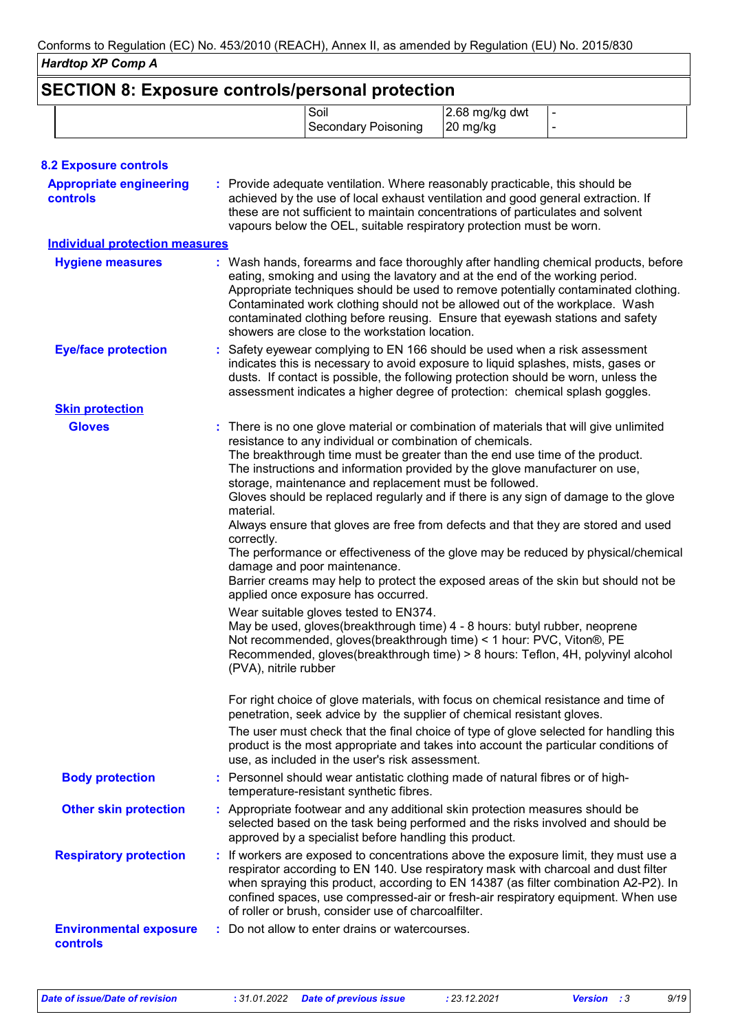|                                                   |                                                  | Soil<br><b>Secondary Poisoning</b>                                                                                                                                                                                                                                                                                                                                                                                                                                                                                                                                                                                                                                                                                                                                                                                                                                                                                                                                                                                                                                                                                                                                                                                                                                                                                                                                                                                                       | 2.68 mg/kg dwt<br>20 mg/kg |  |
|---------------------------------------------------|--------------------------------------------------|------------------------------------------------------------------------------------------------------------------------------------------------------------------------------------------------------------------------------------------------------------------------------------------------------------------------------------------------------------------------------------------------------------------------------------------------------------------------------------------------------------------------------------------------------------------------------------------------------------------------------------------------------------------------------------------------------------------------------------------------------------------------------------------------------------------------------------------------------------------------------------------------------------------------------------------------------------------------------------------------------------------------------------------------------------------------------------------------------------------------------------------------------------------------------------------------------------------------------------------------------------------------------------------------------------------------------------------------------------------------------------------------------------------------------------------|----------------------------|--|
|                                                   |                                                  |                                                                                                                                                                                                                                                                                                                                                                                                                                                                                                                                                                                                                                                                                                                                                                                                                                                                                                                                                                                                                                                                                                                                                                                                                                                                                                                                                                                                                                          |                            |  |
| <b>8.2 Exposure controls</b>                      |                                                  |                                                                                                                                                                                                                                                                                                                                                                                                                                                                                                                                                                                                                                                                                                                                                                                                                                                                                                                                                                                                                                                                                                                                                                                                                                                                                                                                                                                                                                          |                            |  |
| <b>Appropriate engineering</b><br><b>controls</b> |                                                  | : Provide adequate ventilation. Where reasonably practicable, this should be<br>achieved by the use of local exhaust ventilation and good general extraction. If<br>these are not sufficient to maintain concentrations of particulates and solvent<br>vapours below the OEL, suitable respiratory protection must be worn.                                                                                                                                                                                                                                                                                                                                                                                                                                                                                                                                                                                                                                                                                                                                                                                                                                                                                                                                                                                                                                                                                                              |                            |  |
| <b>Individual protection measures</b>             |                                                  |                                                                                                                                                                                                                                                                                                                                                                                                                                                                                                                                                                                                                                                                                                                                                                                                                                                                                                                                                                                                                                                                                                                                                                                                                                                                                                                                                                                                                                          |                            |  |
| <b>Hygiene measures</b>                           |                                                  | : Wash hands, forearms and face thoroughly after handling chemical products, before<br>eating, smoking and using the lavatory and at the end of the working period.<br>Appropriate techniques should be used to remove potentially contaminated clothing.<br>Contaminated work clothing should not be allowed out of the workplace. Wash<br>contaminated clothing before reusing. Ensure that eyewash stations and safety<br>showers are close to the workstation location.                                                                                                                                                                                                                                                                                                                                                                                                                                                                                                                                                                                                                                                                                                                                                                                                                                                                                                                                                              |                            |  |
| <b>Eye/face protection</b>                        |                                                  | Safety eyewear complying to EN 166 should be used when a risk assessment<br>indicates this is necessary to avoid exposure to liquid splashes, mists, gases or<br>dusts. If contact is possible, the following protection should be worn, unless the<br>assessment indicates a higher degree of protection: chemical splash goggles.                                                                                                                                                                                                                                                                                                                                                                                                                                                                                                                                                                                                                                                                                                                                                                                                                                                                                                                                                                                                                                                                                                      |                            |  |
| <b>Skin protection</b>                            |                                                  |                                                                                                                                                                                                                                                                                                                                                                                                                                                                                                                                                                                                                                                                                                                                                                                                                                                                                                                                                                                                                                                                                                                                                                                                                                                                                                                                                                                                                                          |                            |  |
| <b>Gloves</b>                                     | material.<br>correctly.<br>(PVA), nitrile rubber | There is no one glove material or combination of materials that will give unlimited<br>resistance to any individual or combination of chemicals.<br>The breakthrough time must be greater than the end use time of the product.<br>The instructions and information provided by the glove manufacturer on use,<br>storage, maintenance and replacement must be followed.<br>Gloves should be replaced regularly and if there is any sign of damage to the glove<br>Always ensure that gloves are free from defects and that they are stored and used<br>The performance or effectiveness of the glove may be reduced by physical/chemical<br>damage and poor maintenance.<br>Barrier creams may help to protect the exposed areas of the skin but should not be<br>applied once exposure has occurred.<br>Wear suitable gloves tested to EN374.<br>May be used, gloves(breakthrough time) 4 - 8 hours: butyl rubber, neoprene<br>Not recommended, gloves(breakthrough time) < 1 hour: PVC, Viton®, PE<br>Recommended, gloves(breakthrough time) > 8 hours: Teflon, 4H, polyvinyl alcohol<br>For right choice of glove materials, with focus on chemical resistance and time of<br>penetration, seek advice by the supplier of chemical resistant gloves.<br>The user must check that the final choice of type of glove selected for handling this<br>product is the most appropriate and takes into account the particular conditions of |                            |  |
| <b>Body protection</b>                            |                                                  | use, as included in the user's risk assessment.<br>: Personnel should wear antistatic clothing made of natural fibres or of high-<br>temperature-resistant synthetic fibres.                                                                                                                                                                                                                                                                                                                                                                                                                                                                                                                                                                                                                                                                                                                                                                                                                                                                                                                                                                                                                                                                                                                                                                                                                                                             |                            |  |
| <b>Other skin protection</b>                      |                                                  | : Appropriate footwear and any additional skin protection measures should be<br>selected based on the task being performed and the risks involved and should be<br>approved by a specialist before handling this product.                                                                                                                                                                                                                                                                                                                                                                                                                                                                                                                                                                                                                                                                                                                                                                                                                                                                                                                                                                                                                                                                                                                                                                                                                |                            |  |
| <b>Respiratory protection</b>                     |                                                  | : If workers are exposed to concentrations above the exposure limit, they must use a<br>respirator according to EN 140. Use respiratory mask with charcoal and dust filter<br>when spraying this product, according to EN 14387 (as filter combination A2-P2). In<br>confined spaces, use compressed-air or fresh-air respiratory equipment. When use<br>of roller or brush, consider use of charcoalfilter.                                                                                                                                                                                                                                                                                                                                                                                                                                                                                                                                                                                                                                                                                                                                                                                                                                                                                                                                                                                                                             |                            |  |
| <b>Environmental exposure</b><br>controls         |                                                  | Do not allow to enter drains or watercourses.                                                                                                                                                                                                                                                                                                                                                                                                                                                                                                                                                                                                                                                                                                                                                                                                                                                                                                                                                                                                                                                                                                                                                                                                                                                                                                                                                                                            |                            |  |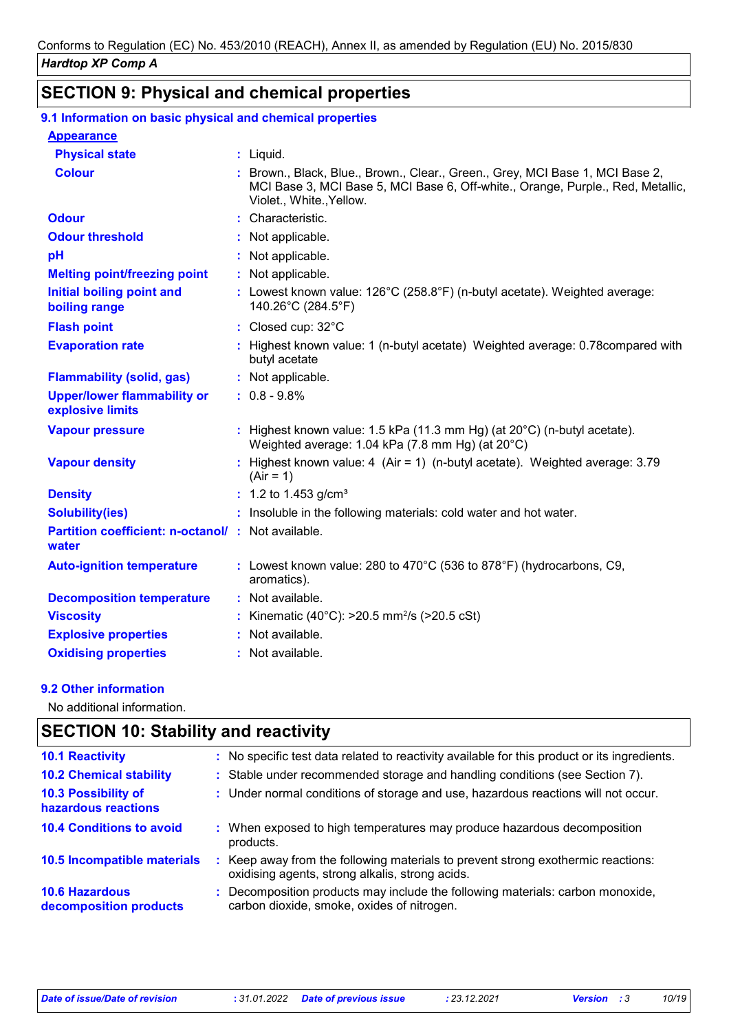# **SECTION 9: Physical and chemical properties**

#### **9.1 Information on basic physical and chemical properties**

| <b>Appearance</b>                                                 |                                                                                                                                                                                              |
|-------------------------------------------------------------------|----------------------------------------------------------------------------------------------------------------------------------------------------------------------------------------------|
| <b>Physical state</b>                                             | $:$ Liquid.                                                                                                                                                                                  |
| <b>Colour</b>                                                     | : Brown., Black, Blue., Brown., Clear., Green., Grey, MCI Base 1, MCI Base 2,<br>MCI Base 3, MCI Base 5, MCI Base 6, Off-white., Orange, Purple., Red, Metallic,<br>Violet., White., Yellow. |
| <b>Odour</b>                                                      | : Characteristic.                                                                                                                                                                            |
| <b>Odour threshold</b>                                            | : Not applicable.                                                                                                                                                                            |
| pH                                                                | : Not applicable.                                                                                                                                                                            |
| <b>Melting point/freezing point</b>                               | : Not applicable.                                                                                                                                                                            |
| <b>Initial boiling point and</b><br>boiling range                 | : Lowest known value: $126^{\circ}$ C (258.8 $^{\circ}$ F) (n-butyl acetate). Weighted average:<br>140.26°C (284.5°F)                                                                        |
| <b>Flash point</b>                                                | : Closed cup: 32°C                                                                                                                                                                           |
| <b>Evaporation rate</b>                                           | : Highest known value: 1 (n-butyl acetate) Weighted average: 0.78 compared with<br>butyl acetate                                                                                             |
| <b>Flammability (solid, gas)</b>                                  | : Not applicable.                                                                                                                                                                            |
| <b>Upper/lower flammability or</b><br>explosive limits            | $: 0.8 - 9.8\%$                                                                                                                                                                              |
| <b>Vapour pressure</b>                                            | : Highest known value: 1.5 kPa (11.3 mm Hg) (at $20^{\circ}$ C) (n-butyl acetate).<br>Weighted average: 1.04 kPa (7.8 mm Hg) (at 20°C)                                                       |
| <b>Vapour density</b>                                             | : Highest known value: 4 $(Air = 1)$ (n-butyl acetate). Weighted average: 3.79<br>$(Air = 1)$                                                                                                |
| <b>Density</b>                                                    | : 1.2 to 1.453 $g/cm3$                                                                                                                                                                       |
| <b>Solubility(ies)</b>                                            | : Insoluble in the following materials: cold water and hot water.                                                                                                                            |
| <b>Partition coefficient: n-octanol/: Not available.</b><br>water |                                                                                                                                                                                              |
| <b>Auto-ignition temperature</b>                                  | : Lowest known value: 280 to 470°C (536 to 878°F) (hydrocarbons, C9,<br>aromatics).                                                                                                          |
| <b>Decomposition temperature</b>                                  | : Not available.                                                                                                                                                                             |
| <b>Viscosity</b>                                                  | : Kinematic (40°C): $>20.5$ mm <sup>2</sup> /s ( $>20.5$ cSt)                                                                                                                                |
| <b>Explosive properties</b>                                       | : Not available.                                                                                                                                                                             |
| <b>Oxidising properties</b>                                       | : Not available.                                                                                                                                                                             |

#### **9.2 Other information**

No additional information.

### **SECTION 10: Stability and reactivity**

| <b>10.1 Reactivity</b>                            | : No specific test data related to reactivity available for this product or its ingredients.                                        |
|---------------------------------------------------|-------------------------------------------------------------------------------------------------------------------------------------|
| <b>10.2 Chemical stability</b>                    | : Stable under recommended storage and handling conditions (see Section 7).                                                         |
| <b>10.3 Possibility of</b><br>hazardous reactions | : Under normal conditions of storage and use, hazardous reactions will not occur.                                                   |
| <b>10.4 Conditions to avoid</b>                   | : When exposed to high temperatures may produce hazardous decomposition<br>products.                                                |
| 10.5 Incompatible materials                       | : Keep away from the following materials to prevent strong exothermic reactions:<br>oxidising agents, strong alkalis, strong acids. |
| <b>10.6 Hazardous</b><br>decomposition products   | : Decomposition products may include the following materials: carbon monoxide,<br>carbon dioxide, smoke, oxides of nitrogen.        |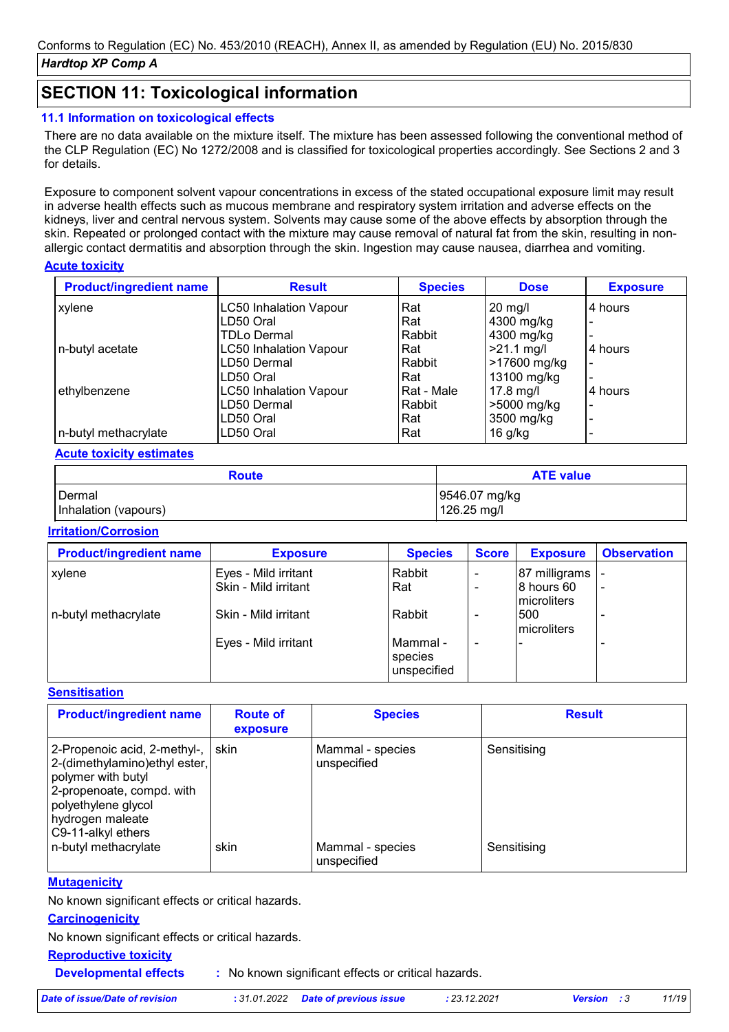### **SECTION 11: Toxicological information**

#### **11.1 Information on toxicological effects**

There are no data available on the mixture itself. The mixture has been assessed following the conventional method of the CLP Regulation (EC) No 1272/2008 and is classified for toxicological properties accordingly. See Sections 2 and 3 for details.

Exposure to component solvent vapour concentrations in excess of the stated occupational exposure limit may result in adverse health effects such as mucous membrane and respiratory system irritation and adverse effects on the kidneys, liver and central nervous system. Solvents may cause some of the above effects by absorption through the skin. Repeated or prolonged contact with the mixture may cause removal of natural fat from the skin, resulting in nonallergic contact dermatitis and absorption through the skin. Ingestion may cause nausea, diarrhea and vomiting.

#### **Acute toxicity**

| <b>Product/ingredient name</b> | <b>Result</b>                 | <b>Species</b> | <b>Dose</b>  | <b>Exposure</b>          |
|--------------------------------|-------------------------------|----------------|--------------|--------------------------|
| xylene                         | <b>LC50 Inhalation Vapour</b> | Rat            | $20$ mg/l    | 4 hours                  |
|                                | LD50 Oral                     | Rat            | 4300 mg/kg   |                          |
|                                | <b>TDLo Dermal</b>            | Rabbit         | 4300 mg/kg   |                          |
| n-butyl acetate                | <b>LC50 Inhalation Vapour</b> | Rat            | $>21.1$ mg/l | 4 hours                  |
|                                | LD50 Dermal                   | Rabbit         | >17600 mg/kg |                          |
|                                | LD50 Oral                     | Rat            | 13100 mg/kg  | $\overline{\phantom{0}}$ |
| ethylbenzene                   | <b>LC50 Inhalation Vapour</b> | Rat - Male     | $17.8$ mg/l  | 4 hours                  |
|                                | LD50 Dermal                   | Rabbit         | >5000 mg/kg  | $\blacksquare$           |
|                                | LD50 Oral                     | Rat            | 3500 mg/kg   | $\overline{\phantom{0}}$ |
| n-butyl methacrylate           | LD50 Oral                     | Rat            | $16$ g/kg    |                          |

#### **Acute toxicity estimates**

| <b>Route</b>         | <b>ATE value</b> |
|----------------------|------------------|
| <b>I</b> Dermal      | 9546.07 mg/kg    |
| Inhalation (vapours) | 126.25 mg/l      |

#### **Irritation/Corrosion**

| <b>Product/ingredient name</b> | <b>Exposure</b>                              | <b>Species</b>                     | <b>Score</b> | <b>Exposure</b>                            | <b>Observation</b> |
|--------------------------------|----------------------------------------------|------------------------------------|--------------|--------------------------------------------|--------------------|
| xylene                         | Eyes - Mild irritant<br>Skin - Mild irritant | Rabbit<br>Rat                      |              | 87 milligrams<br>8 hours 60<br>microliters |                    |
| n-butyl methacrylate           | Skin - Mild irritant                         | Rabbit                             |              | 500<br>microliters                         |                    |
|                                | Eyes - Mild irritant                         | Mammal -<br>species<br>unspecified |              |                                            |                    |

#### **Sensitisation**

| <b>Product/ingredient name</b>                                                                                                                                                    | <b>Route of</b><br>exposure | <b>Species</b>                  | <b>Result</b> |
|-----------------------------------------------------------------------------------------------------------------------------------------------------------------------------------|-----------------------------|---------------------------------|---------------|
| 2-Propenoic acid, 2-methyl-,<br>2-(dimethylamino)ethyl ester,<br>polymer with butyl<br>2-propenoate, compd. with<br>polyethylene glycol<br>hydrogen maleate<br>C9-11-alkyl ethers | l skin                      | Mammal - species<br>unspecified | Sensitising   |
| n-butyl methacrylate                                                                                                                                                              | skin                        | Mammal - species<br>unspecified | Sensitising   |

#### **Mutagenicity**

No known significant effects or critical hazards.

#### **Carcinogenicity**

No known significant effects or critical hazards.

#### **Reproductive toxicity**

**Developmental effects :**

: No known significant effects or critical hazards.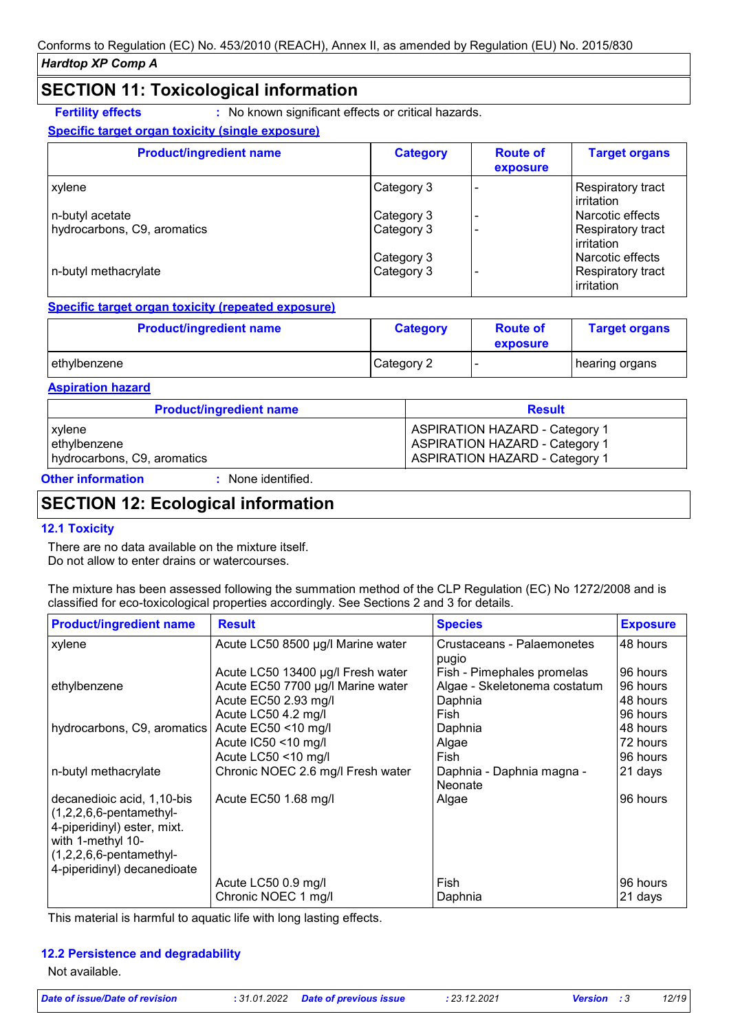### **SECTION 11: Toxicological information**

**Fertility effects** : No known significant effects or critical hazards.

#### **Specific target organ toxicity (single exposure)**

| <b>Product/ingredient name</b> | <b>Category</b> | <b>Route of</b><br>exposure | <b>Target organs</b>                           |
|--------------------------------|-----------------|-----------------------------|------------------------------------------------|
| xylene                         | Category 3      |                             | <b>Respiratory tract</b><br><b>lirritation</b> |
| n-butyl acetate                | Category 3      |                             | l Narcotic effects                             |
| hydrocarbons, C9, aromatics    | Category 3      |                             | Respiratory tract<br>irritation                |
|                                | Category 3      |                             | l Narcotic effects                             |
| n-butyl methacrylate           | Category 3      |                             | <b>Respiratory tract</b><br>irritation         |

#### **Specific target organ toxicity (repeated exposure)**

| <b>Product/ingredient name</b> | <b>Category</b> | <b>Route of</b><br>exposure | <b>Target organs</b> |
|--------------------------------|-----------------|-----------------------------|----------------------|
| ethylbenzene                   | Category 2      |                             | hearing organs       |

#### **Aspiration hazard**

| <b>Product/ingredient name</b> | <b>Result</b>                         |
|--------------------------------|---------------------------------------|
| xylene                         | <b>ASPIRATION HAZARD - Category 1</b> |
| ethylbenzene                   | <b>ASPIRATION HAZARD - Category 1</b> |
| hydrocarbons, C9, aromatics    | <b>ASPIRATION HAZARD - Category 1</b> |

#### **Other information :**

: None identified.

## **SECTION 12: Ecological information**

#### **12.1 Toxicity**

There are no data available on the mixture itself. Do not allow to enter drains or watercourses.

The mixture has been assessed following the summation method of the CLP Regulation (EC) No 1272/2008 and is classified for eco-toxicological properties accordingly. See Sections 2 and 3 for details.

| <b>Product/ingredient name</b>                                                                                                                                            | <b>Result</b>                                                                                  | <b>Species</b>                                                        | <b>Exposure</b>                              |
|---------------------------------------------------------------------------------------------------------------------------------------------------------------------------|------------------------------------------------------------------------------------------------|-----------------------------------------------------------------------|----------------------------------------------|
| xylene                                                                                                                                                                    | Acute LC50 8500 µg/l Marine water                                                              | Crustaceans - Palaemonetes<br>pugio                                   | 48 hours                                     |
| ethylbenzene                                                                                                                                                              | Acute LC50 13400 µg/l Fresh water<br>Acute EC50 7700 µg/l Marine water<br>Acute EC50 2.93 mg/l | Fish - Pimephales promelas<br>Algae - Skeletonema costatum<br>Daphnia | 96 hours<br>96 hours<br>48 hours             |
| hydrocarbons, C9, aromatics                                                                                                                                               | Acute LC50 4.2 mg/l<br>Acute EC50 <10 mg/l<br>Acute IC50 <10 mg/l<br>Acute LC50 <10 mg/l       | Fish<br>Daphnia<br>Algae<br>Fish                                      | 96 hours<br>48 hours<br>72 hours<br>96 hours |
| n-butyl methacrylate                                                                                                                                                      | Chronic NOEC 2.6 mg/l Fresh water                                                              | Daphnia - Daphnia magna -<br>Neonate                                  | 21 days                                      |
| decanedioic acid, 1,10-bis<br>$(1,2,2,6,6$ -pentamethyl-<br>4-piperidinyl) ester, mixt.<br>with 1-methyl 10-<br>$(1,2,2,6,6$ -pentamethyl-<br>4-piperidinyl) decanedioate | Acute EC50 1.68 mg/l                                                                           | Algae                                                                 | 96 hours                                     |
|                                                                                                                                                                           | Acute LC50 0.9 mg/l<br>Chronic NOEC 1 mg/l                                                     | Fish<br>Daphnia                                                       | 96 hours<br>21 days                          |

This material is harmful to aquatic life with long lasting effects.

#### **12.2 Persistence and degradability**

Not available.

| Date of issue/Date of revision | : 31.01.2022 Date of previous issue | : 23.12.2021 | <b>Version</b> : 3 | 12/19 |
|--------------------------------|-------------------------------------|--------------|--------------------|-------|
|--------------------------------|-------------------------------------|--------------|--------------------|-------|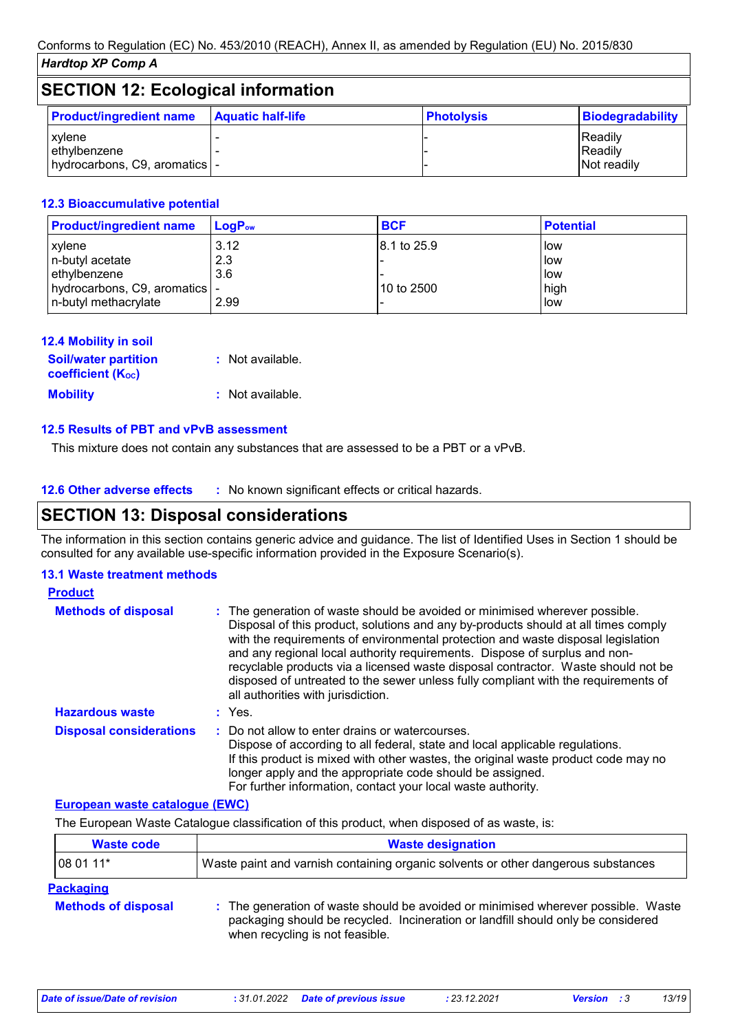| <b>SECTION 12: Ecological information</b>                |                          |                   |                                    |
|----------------------------------------------------------|--------------------------|-------------------|------------------------------------|
| <b>Product/ingredient name</b>                           | <b>Aquatic half-life</b> | <b>Photolysis</b> | <b>Biodegradability</b>            |
| xylene<br>ethylbenzene<br>hydrocarbons, C9, aromatics  - |                          |                   | IReadilv<br>Readily<br>Not readily |

#### **12.3 Bioaccumulative potential**

| <b>Product/ingredient name</b>  | $\mathsf{LogP}_\mathsf{ow}$ | <b>BCF</b>              | <b>Potential</b> |
|---------------------------------|-----------------------------|-------------------------|------------------|
| xylene                          | 3.12                        | $ 8.1 \text{ to } 25.9$ | low              |
| n-butyl acetate                 | 2.3                         |                         | low              |
| ethylbenzene                    | 3.6                         |                         | low              |
| hydrocarbons, C9, aromatics   - |                             | l10 to 2500             | high             |
| n-butyl methacrylate            | 2.99                        |                         | low              |

| <b>12.4 Mobility in soil</b>                            |                  |
|---------------------------------------------------------|------------------|
| <b>Soil/water partition</b><br><b>coefficient (Koc)</b> | : Not available. |
| <b>Mobility</b>                                         | : Not available. |

#### **12.5 Results of PBT and vPvB assessment**

This mixture does not contain any substances that are assessed to be a PBT or a vPvB.

#### **12.6 Other adverse effects** : No known significant effects or critical hazards.

### **SECTION 13: Disposal considerations**

The information in this section contains generic advice and guidance. The list of Identified Uses in Section 1 should be consulted for any available use-specific information provided in the Exposure Scenario(s).

#### **13.1 Waste treatment methods**

| <b>Product</b>                 |                                                                                                                                                                                                                                                                                                                                                                                                                                                                                                                                                      |
|--------------------------------|------------------------------------------------------------------------------------------------------------------------------------------------------------------------------------------------------------------------------------------------------------------------------------------------------------------------------------------------------------------------------------------------------------------------------------------------------------------------------------------------------------------------------------------------------|
| <b>Methods of disposal</b>     | : The generation of waste should be avoided or minimised wherever possible.<br>Disposal of this product, solutions and any by-products should at all times comply<br>with the requirements of environmental protection and waste disposal legislation<br>and any regional local authority requirements. Dispose of surplus and non-<br>recyclable products via a licensed waste disposal contractor. Waste should not be<br>disposed of untreated to the sewer unless fully compliant with the requirements of<br>all authorities with jurisdiction. |
| <b>Hazardous waste</b>         | : Yes.                                                                                                                                                                                                                                                                                                                                                                                                                                                                                                                                               |
| <b>Disposal considerations</b> | : Do not allow to enter drains or watercourses.<br>Dispose of according to all federal, state and local applicable regulations.<br>If this product is mixed with other wastes, the original waste product code may no<br>longer apply and the appropriate code should be assigned.<br>For further information, contact your local waste authority.                                                                                                                                                                                                   |

#### **European waste catalogue (EWC)**

The European Waste Catalogue classification of this product, when disposed of as waste, is:

| Waste code                                     | <b>Waste designation</b>                                                                                                                                                                                 |
|------------------------------------------------|----------------------------------------------------------------------------------------------------------------------------------------------------------------------------------------------------------|
| 08 01 11*                                      | Waste paint and varnish containing organic solvents or other dangerous substances                                                                                                                        |
| <b>Packaging</b><br><b>Methods of disposal</b> | : The generation of waste should be avoided or minimised wherever possible. Waste<br>packaging should be recycled. Incineration or landfill should only be considered<br>when recycling is not feasible. |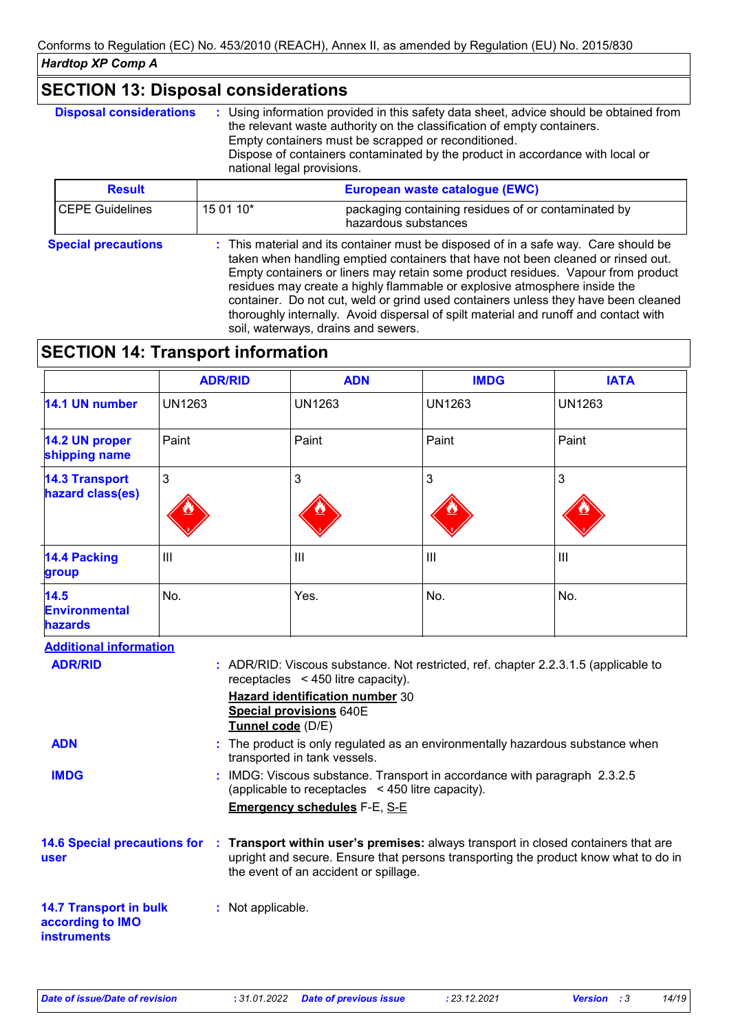| <b>Disposal considerations</b> | : Using information provided in this safety data sheet, advice should be obtained from<br>the relevant waste authority on the classification of empty containers.<br>Empty containers must be scrapped or reconditioned.<br>Dispose of containers contaminated by the product in accordance with local or<br>national legal provisions. |                                                                                                                                                                         |
|--------------------------------|-----------------------------------------------------------------------------------------------------------------------------------------------------------------------------------------------------------------------------------------------------------------------------------------------------------------------------------------|-------------------------------------------------------------------------------------------------------------------------------------------------------------------------|
| <b>Result</b>                  |                                                                                                                                                                                                                                                                                                                                         | European waste catalogue (EWC)                                                                                                                                          |
| <b>CEPE Guidelines</b>         | 15 01 10*                                                                                                                                                                                                                                                                                                                               | packaging containing residues of or contaminated by<br>hazardous substances                                                                                             |
| <b>Special precautions</b>     |                                                                                                                                                                                                                                                                                                                                         | : This material and its container must be disposed of in a safe way. Care should be<br>taken when handling emptied containers that have not been cleaned or rinsed out. |

Empty containers or liners may retain some product residues. Vapour from product residues may create a highly flammable or explosive atmosphere inside the container. Do not cut, weld or grind used containers unless they have been cleaned thoroughly internally. Avoid dispersal of spilt material and runoff and contact with soil, waterways, drains and sewers.

## **SECTION 14: Transport information**

|                                                                                                                                                                                                                                                                                                                                                                                                                                                                                                                                                                                                | <b>ADR/RID</b>    | <b>ADN</b>                                                                                                                                                                                                       | <b>IMDG</b>    | <b>IATA</b>   |
|------------------------------------------------------------------------------------------------------------------------------------------------------------------------------------------------------------------------------------------------------------------------------------------------------------------------------------------------------------------------------------------------------------------------------------------------------------------------------------------------------------------------------------------------------------------------------------------------|-------------------|------------------------------------------------------------------------------------------------------------------------------------------------------------------------------------------------------------------|----------------|---------------|
| 14.1 UN number                                                                                                                                                                                                                                                                                                                                                                                                                                                                                                                                                                                 | <b>UN1263</b>     | <b>UN1263</b>                                                                                                                                                                                                    | <b>UN1263</b>  | <b>UN1263</b> |
| 14.2 UN proper<br>shipping name                                                                                                                                                                                                                                                                                                                                                                                                                                                                                                                                                                | Paint             | Paint                                                                                                                                                                                                            | Paint          | Paint         |
| <b>14.3 Transport</b><br>hazard class(es)                                                                                                                                                                                                                                                                                                                                                                                                                                                                                                                                                      | 3                 | 3                                                                                                                                                                                                                | 3              | 3             |
| <b>14.4 Packing</b><br>group                                                                                                                                                                                                                                                                                                                                                                                                                                                                                                                                                                   | III               | III                                                                                                                                                                                                              | $\mathbf{III}$ | III           |
| 14.5<br><b>Environmental</b><br><b>hazards</b>                                                                                                                                                                                                                                                                                                                                                                                                                                                                                                                                                 | No.               | Yes.                                                                                                                                                                                                             | No.            | No.           |
| <b>Additional information</b><br><b>ADR/RID</b><br>: ADR/RID: Viscous substance. Not restricted, ref. chapter 2.2.3.1.5 (applicable to<br>receptacles < 450 litre capacity).<br><b>Hazard identification number 30</b><br>Special provisions 640E<br>Tunnel code (D/E)<br><b>ADN</b><br>: The product is only regulated as an environmentally hazardous substance when<br>transported in tank vessels.<br>: IMDG: Viscous substance. Transport in accordance with paragraph 2.3.2.5<br><b>IMDG</b><br>(applicable to receptacles < 450 litre capacity).<br><b>Emergency schedules F-E, S-E</b> |                   |                                                                                                                                                                                                                  |                |               |
| <b>14.6 Special precautions for</b><br>user                                                                                                                                                                                                                                                                                                                                                                                                                                                                                                                                                    |                   | Transport within user's premises: always transport in closed containers that are<br>upright and secure. Ensure that persons transporting the product know what to do in<br>the event of an accident or spillage. |                |               |
| <b>14.7 Transport in bulk</b><br>according to IMO<br><b>instruments</b>                                                                                                                                                                                                                                                                                                                                                                                                                                                                                                                        | : Not applicable. |                                                                                                                                                                                                                  |                |               |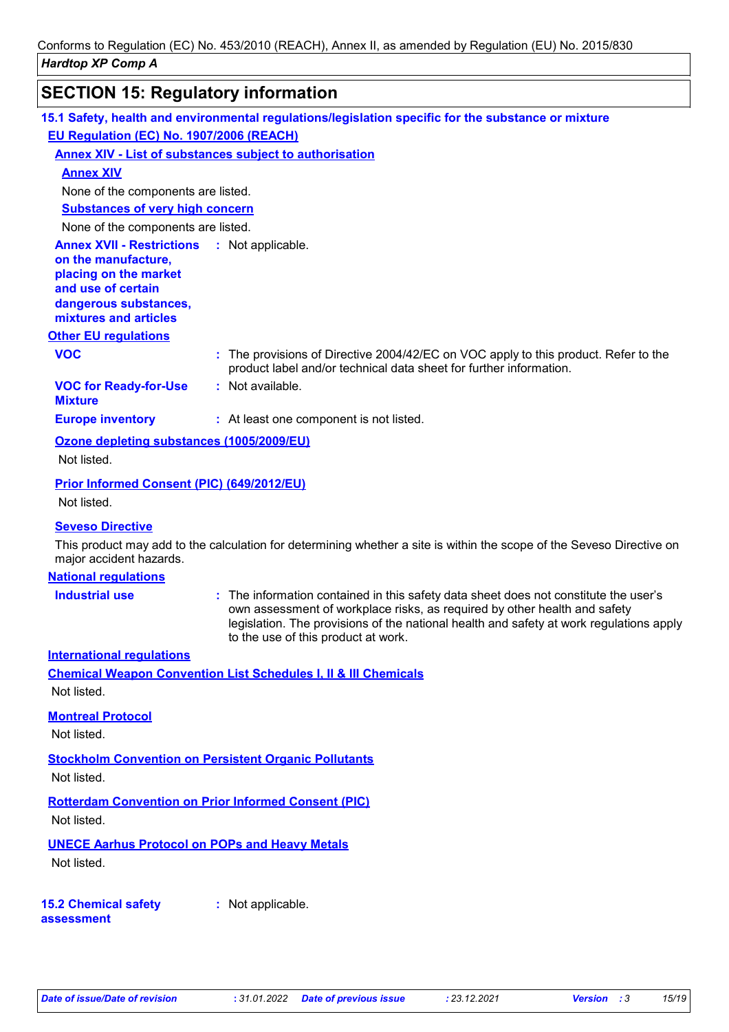# **SECTION 15: Regulatory information**

|                                                                                                                                                                            | 15.1 Safety, health and environmental regulations/legislation specific for the substance or mixture                                                                                                                                                                                                 |
|----------------------------------------------------------------------------------------------------------------------------------------------------------------------------|-----------------------------------------------------------------------------------------------------------------------------------------------------------------------------------------------------------------------------------------------------------------------------------------------------|
| EU Regulation (EC) No. 1907/2006 (REACH)                                                                                                                                   |                                                                                                                                                                                                                                                                                                     |
|                                                                                                                                                                            | <b>Annex XIV - List of substances subject to authorisation</b>                                                                                                                                                                                                                                      |
| <b>Annex XIV</b>                                                                                                                                                           |                                                                                                                                                                                                                                                                                                     |
| None of the components are listed.                                                                                                                                         |                                                                                                                                                                                                                                                                                                     |
| <b>Substances of very high concern</b>                                                                                                                                     |                                                                                                                                                                                                                                                                                                     |
| None of the components are listed.                                                                                                                                         |                                                                                                                                                                                                                                                                                                     |
| <b>Annex XVII - Restrictions : Not applicable.</b><br>on the manufacture,<br>placing on the market<br>and use of certain<br>dangerous substances,<br>mixtures and articles |                                                                                                                                                                                                                                                                                                     |
| <b>Other EU regulations</b>                                                                                                                                                |                                                                                                                                                                                                                                                                                                     |
| <b>VOC</b>                                                                                                                                                                 | : The provisions of Directive 2004/42/EC on VOC apply to this product. Refer to the<br>product label and/or technical data sheet for further information.                                                                                                                                           |
| <b>VOC for Ready-for-Use</b><br><b>Mixture</b>                                                                                                                             | : Not available.                                                                                                                                                                                                                                                                                    |
| <b>Europe inventory</b>                                                                                                                                                    | : At least one component is not listed.                                                                                                                                                                                                                                                             |
| Ozone depleting substances (1005/2009/EU)                                                                                                                                  |                                                                                                                                                                                                                                                                                                     |
| Not listed.                                                                                                                                                                |                                                                                                                                                                                                                                                                                                     |
| Prior Informed Consent (PIC) (649/2012/EU)                                                                                                                                 |                                                                                                                                                                                                                                                                                                     |
| Not listed.                                                                                                                                                                |                                                                                                                                                                                                                                                                                                     |
| <b>Seveso Directive</b>                                                                                                                                                    |                                                                                                                                                                                                                                                                                                     |
| major accident hazards.                                                                                                                                                    | This product may add to the calculation for determining whether a site is within the scope of the Seveso Directive on                                                                                                                                                                               |
| <b>National regulations</b>                                                                                                                                                |                                                                                                                                                                                                                                                                                                     |
| <b>Industrial use</b>                                                                                                                                                      | : The information contained in this safety data sheet does not constitute the user's<br>own assessment of workplace risks, as required by other health and safety<br>legislation. The provisions of the national health and safety at work regulations apply<br>to the use of this product at work. |
| <b>International requlations</b>                                                                                                                                           |                                                                                                                                                                                                                                                                                                     |
| Not listed.                                                                                                                                                                | <b>Chemical Weapon Convention List Schedules I, II &amp; III Chemicals</b>                                                                                                                                                                                                                          |
| <b>Montreal Protocol</b><br>Not listed.                                                                                                                                    |                                                                                                                                                                                                                                                                                                     |
| Not listed.                                                                                                                                                                | <b>Stockholm Convention on Persistent Organic Pollutants</b>                                                                                                                                                                                                                                        |
|                                                                                                                                                                            |                                                                                                                                                                                                                                                                                                     |
| Not listed.                                                                                                                                                                | <b>Rotterdam Convention on Prior Informed Consent (PIC)</b>                                                                                                                                                                                                                                         |
| <b>UNECE Aarhus Protocol on POPs and Heavy Metals</b><br>Not listed.                                                                                                       |                                                                                                                                                                                                                                                                                                     |
| <b>15.2 Chemical safety</b><br>assessment                                                                                                                                  | : Not applicable.                                                                                                                                                                                                                                                                                   |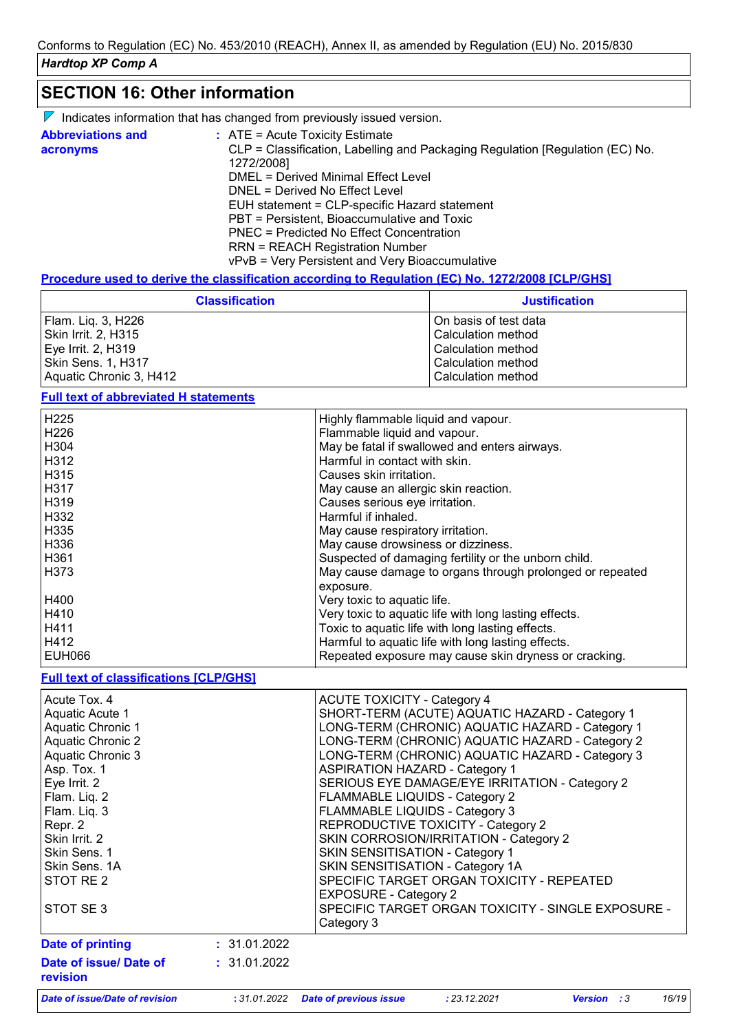### **SECTION 16: Other information**

| $\nabla$ Indicates information that has changed from previously issued version. |  |  |  |  |  |
|---------------------------------------------------------------------------------|--|--|--|--|--|
|---------------------------------------------------------------------------------|--|--|--|--|--|

| <b>Abbreviations and</b><br>acronyms | $:$ ATE = Acute Toxicity Estimate<br>CLP = Classification, Labelling and Packaging Regulation [Regulation (EC) No. |
|--------------------------------------|--------------------------------------------------------------------------------------------------------------------|
|                                      | 1272/2008]<br>DMEL = Derived Minimal Effect Level                                                                  |
|                                      |                                                                                                                    |
|                                      | DNEL = Derived No Effect Level                                                                                     |
|                                      | EUH statement = CLP-specific Hazard statement                                                                      |
|                                      | PBT = Persistent, Bioaccumulative and Toxic                                                                        |
|                                      | PNEC = Predicted No Effect Concentration                                                                           |
|                                      | <b>RRN = REACH Registration Number</b>                                                                             |
|                                      | vPvB = Very Persistent and Very Bioaccumulative                                                                    |

#### **Procedure used to derive the classification according to Regulation (EC) No. 1272/2008 [CLP/GHS]**

| <b>Classification</b>   | <b>Justification</b>  |
|-------------------------|-----------------------|
| Flam. Liq. 3, H226      | On basis of test data |
| Skin Irrit. 2, H315     | Calculation method    |
| Eye Irrit. 2, H319      | Calculation method    |
| Skin Sens. 1, H317      | Calculation method    |
| Aquatic Chronic 3, H412 | Calculation method    |

### **Full text of abbreviated H statements**

| H <sub>225</sub> | Highly flammable liquid and vapour.                      |
|------------------|----------------------------------------------------------|
| H <sub>226</sub> | Flammable liquid and vapour.                             |
| H304             | May be fatal if swallowed and enters airways.            |
| H312             | Harmful in contact with skin.                            |
| H315             | Causes skin irritation.                                  |
| H317             | May cause an allergic skin reaction.                     |
| H319             | Causes serious eye irritation.                           |
| H332             | Harmful if inhaled.                                      |
| H335             | May cause respiratory irritation.                        |
| H336             | May cause drowsiness or dizziness.                       |
| H361             | Suspected of damaging fertility or the unborn child.     |
| H373             | May cause damage to organs through prolonged or repeated |
|                  | exposure.                                                |
| H400             | Very toxic to aquatic life.                              |
| H410             | Very toxic to aquatic life with long lasting effects.    |
| H411             | Toxic to aquatic life with long lasting effects.         |
| H412             | Harmful to aquatic life with long lasting effects.       |
| <b>EUH066</b>    | Repeated exposure may cause skin dryness or cracking.    |

#### **Full text of classifications [CLP/GHS]**

| <b>Date of issue/Date of revision</b> | :31.01.2022  | <b>Date of previous issue</b>          | : 23.12.2021                                       | <b>Version</b> : 3 | 16/19 |
|---------------------------------------|--------------|----------------------------------------|----------------------------------------------------|--------------------|-------|
| Date of issue/ Date of<br>revision    | : 31.01.2022 |                                        |                                                    |                    |       |
| <b>Date of printing</b>               | : 31.01.2022 |                                        |                                                    |                    |       |
| STOT SE3                              |              | Category 3                             | SPECIFIC TARGET ORGAN TOXICITY - SINGLE EXPOSURE - |                    |       |
|                                       |              | <b>EXPOSURE - Category 2</b>           |                                                    |                    |       |
| Skin Sens. 1A<br>STOT RE 2            |              | SKIN SENSITISATION - Category 1A       | SPECIFIC TARGET ORGAN TOXICITY - REPEATED          |                    |       |
| Skin Sens. 1                          |              | <b>SKIN SENSITISATION - Category 1</b> |                                                    |                    |       |
| Skin Irrit. 2                         |              |                                        | SKIN CORROSION/IRRITATION - Category 2             |                    |       |
| Repr. 2                               |              |                                        | REPRODUCTIVE TOXICITY - Category 2                 |                    |       |
| Flam. Liq. 3                          |              | FLAMMABLE LIQUIDS - Category 3         |                                                    |                    |       |
| Flam. Liq. 2                          |              | FLAMMABLE LIQUIDS - Category 2         |                                                    |                    |       |
| Asp. Tox. 1<br>Eye Irrit. 2           |              | <b>ASPIRATION HAZARD - Category 1</b>  | SERIOUS EYE DAMAGE/EYE IRRITATION - Category 2     |                    |       |
| Aquatic Chronic 3                     |              |                                        | LONG-TERM (CHRONIC) AQUATIC HAZARD - Category 3    |                    |       |
| <b>Aquatic Chronic 2</b>              |              |                                        | LONG-TERM (CHRONIC) AQUATIC HAZARD - Category 2    |                    |       |
| <b>Aquatic Chronic 1</b>              |              |                                        | LONG-TERM (CHRONIC) AQUATIC HAZARD - Category 1    |                    |       |
| Aquatic Acute 1                       |              |                                        | SHORT-TERM (ACUTE) AQUATIC HAZARD - Category 1     |                    |       |
| Acute Tox, 4                          |              | <b>ACUTE TOXICITY - Category 4</b>     |                                                    |                    |       |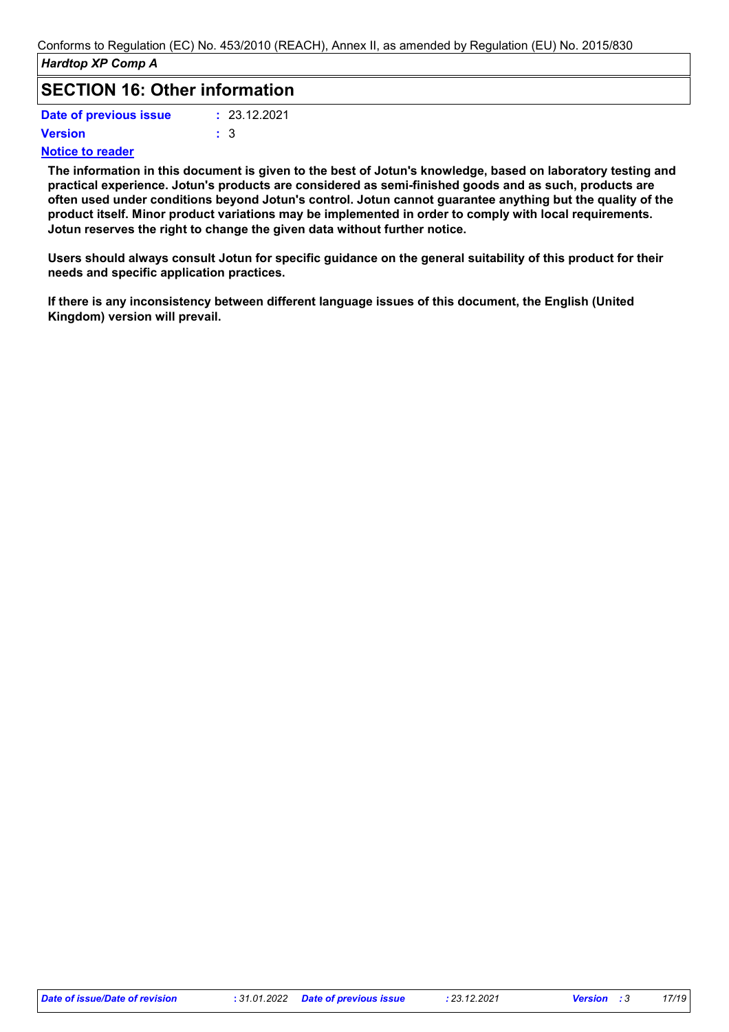### **SECTION 16: Other information**

| Date of previous issue | : 23.12.2021 |
|------------------------|--------------|
| Version                | : 3          |

#### **Notice to reader**

**The information in this document is given to the best of Jotun's knowledge, based on laboratory testing and practical experience. Jotun's products are considered as semi-finished goods and as such, products are often used under conditions beyond Jotun's control. Jotun cannot guarantee anything but the quality of the product itself. Minor product variations may be implemented in order to comply with local requirements. Jotun reserves the right to change the given data without further notice.**

**Users should always consult Jotun for specific guidance on the general suitability of this product for their needs and specific application practices.**

**If there is any inconsistency between different language issues of this document, the English (United Kingdom) version will prevail.**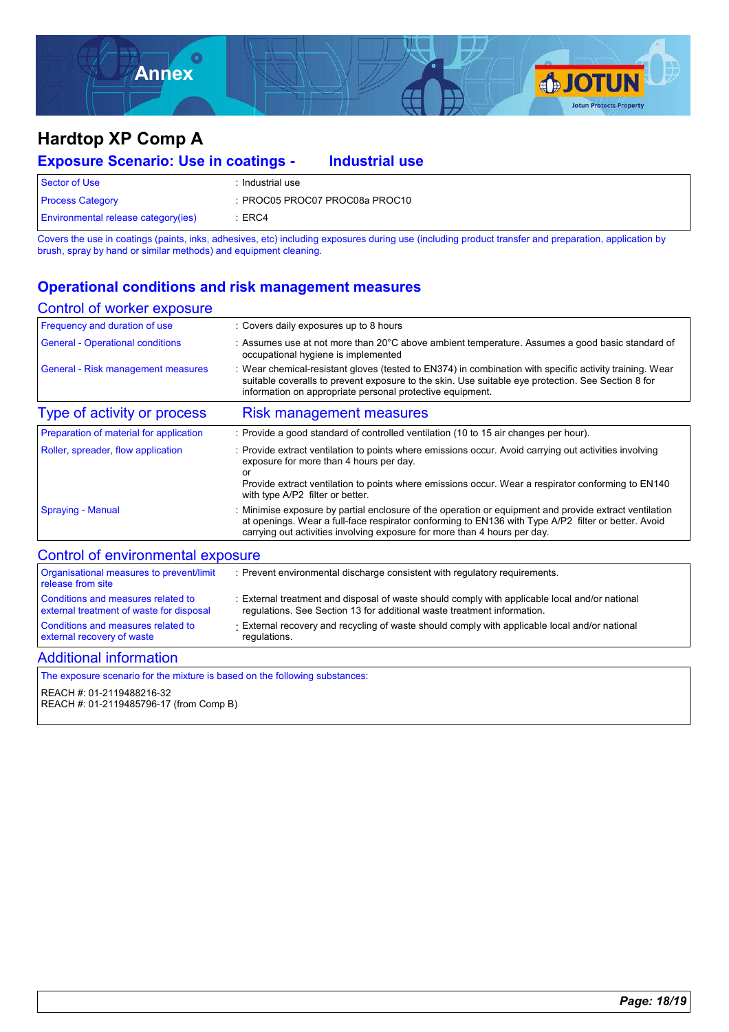

| <b>Exposure Scenario: Use in coatings -</b> |                                | <b>Industrial use</b> |  |
|---------------------------------------------|--------------------------------|-----------------------|--|
| Sector of Use                               | : Industrial use               |                       |  |
| <b>Process Category</b>                     | : PROC05 PROC07 PROC08a PROC10 |                       |  |
| <b>Environmental release category(ies)</b>  | :ERC4                          |                       |  |

Covers the use in coatings (paints, inks, adhesives, etc) including exposures during use (including product transfer and preparation, application by brush, spray by hand or similar methods) and equipment cleaning.

### **Operational conditions and risk management measures**

#### Control of worker exposure

| Frequency and duration of use           | : Covers daily exposures up to 8 hours                                                                                                                                                                                                                                                     |
|-----------------------------------------|--------------------------------------------------------------------------------------------------------------------------------------------------------------------------------------------------------------------------------------------------------------------------------------------|
| <b>General - Operational conditions</b> | : Assumes use at not more than 20 $\degree$ C above ambient temperature. Assumes a good basic standard of<br>occupational hygiene is implemented                                                                                                                                           |
| General - Risk management measures      | : Wear chemical-resistant gloves (tested to EN374) in combination with specific activity training. Wear<br>suitable coveralls to prevent exposure to the skin. Use suitable eye protection. See Section 8 for<br>information on appropriate personal protective equipment.                 |
| Type of activity or process             | <b>Risk management measures</b>                                                                                                                                                                                                                                                            |
| Preparation of material for application | : Provide a good standard of controlled ventilation (10 to 15 air changes per hour).                                                                                                                                                                                                       |
| Roller, spreader, flow application      | : Provide extract ventilation to points where emissions occur. Avoid carrying out activities involving<br>exposure for more than 4 hours per day.<br>or<br>Provide extract ventilation to points where emissions occur. Wear a respirator conforming to EN140                              |
|                                         | with type A/P2 filter or better.                                                                                                                                                                                                                                                           |
| <b>Spraying - Manual</b>                | : Minimise exposure by partial enclosure of the operation or equipment and provide extract ventilation<br>at openings. Wear a full-face respirator conforming to EN136 with Type A/P2 filter or better. Avoid<br>carrying out activities involving exposure for more than 4 hours per day. |

#### Control of environmental exposure

| Organisational measures to prevent/limit<br>release from site | : Prevent environmental discharge consistent with regulatory requirements.                     |
|---------------------------------------------------------------|------------------------------------------------------------------------------------------------|
| Conditions and measures related to                            | : External treatment and disposal of waste should comply with applicable local and/or national |
| external treatment of waste for disposal                      | requilations. See Section 13 for additional waste treatment information.                       |
| Conditions and measures related to                            | External recovery and recycling of waste should comply with applicable local and/or national   |
| external recovery of waste                                    | regulations.                                                                                   |

#### Additional information

The exposure scenario for the mixture is based on the following substances: REACH #: 01-2119488216-32 REACH #: 01-2119485796-17 (from Comp B)